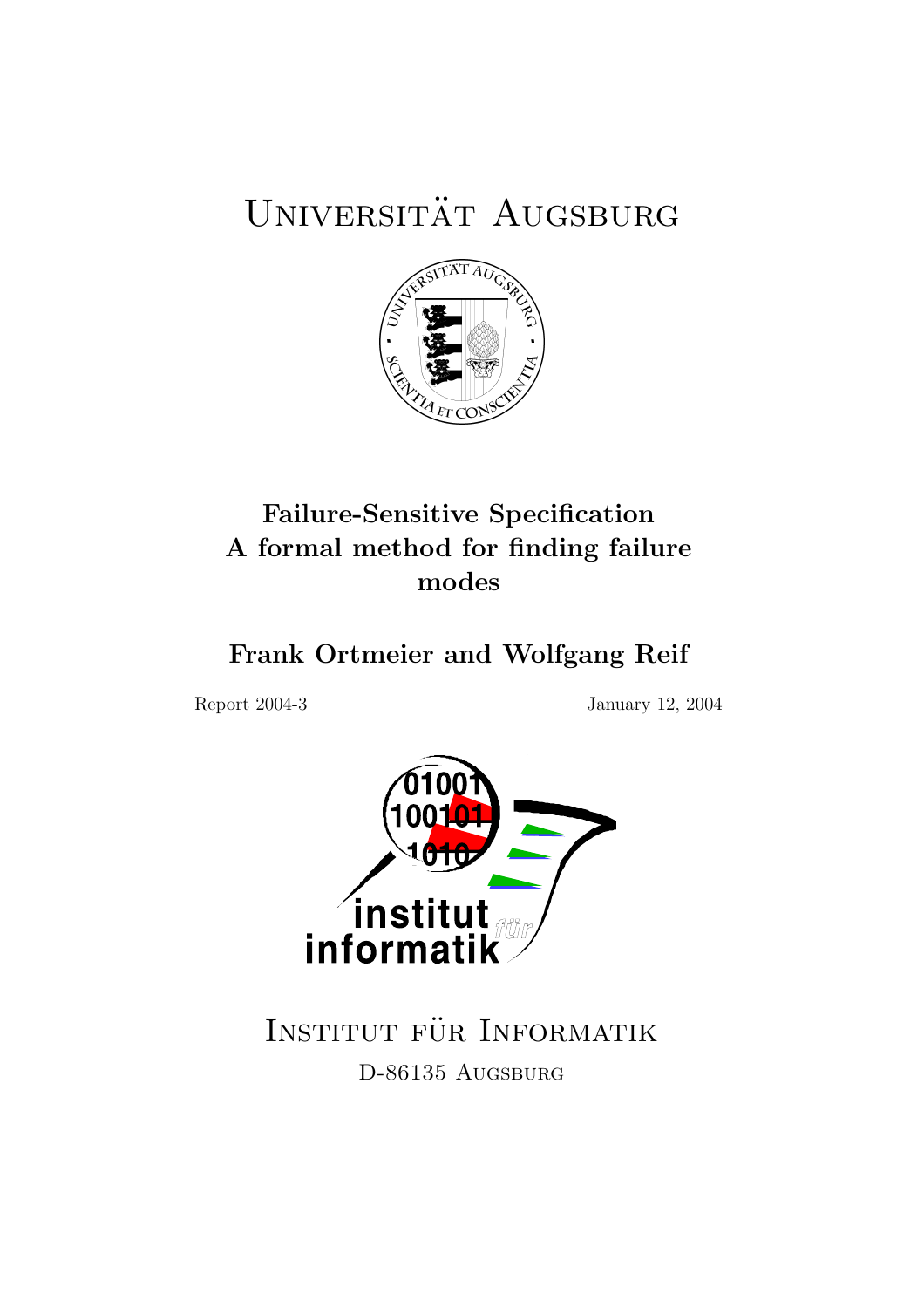# UNIVERSITÄT AUGSBURG



## Failure-Sensitive Specification A formal method for finding failure modes

## Frank Ortmeier and Wolfgang Reif

Report 2004-3 January 12, 2004



INSTITUT FÜR INFORMATIK D-86135 AUGSBURG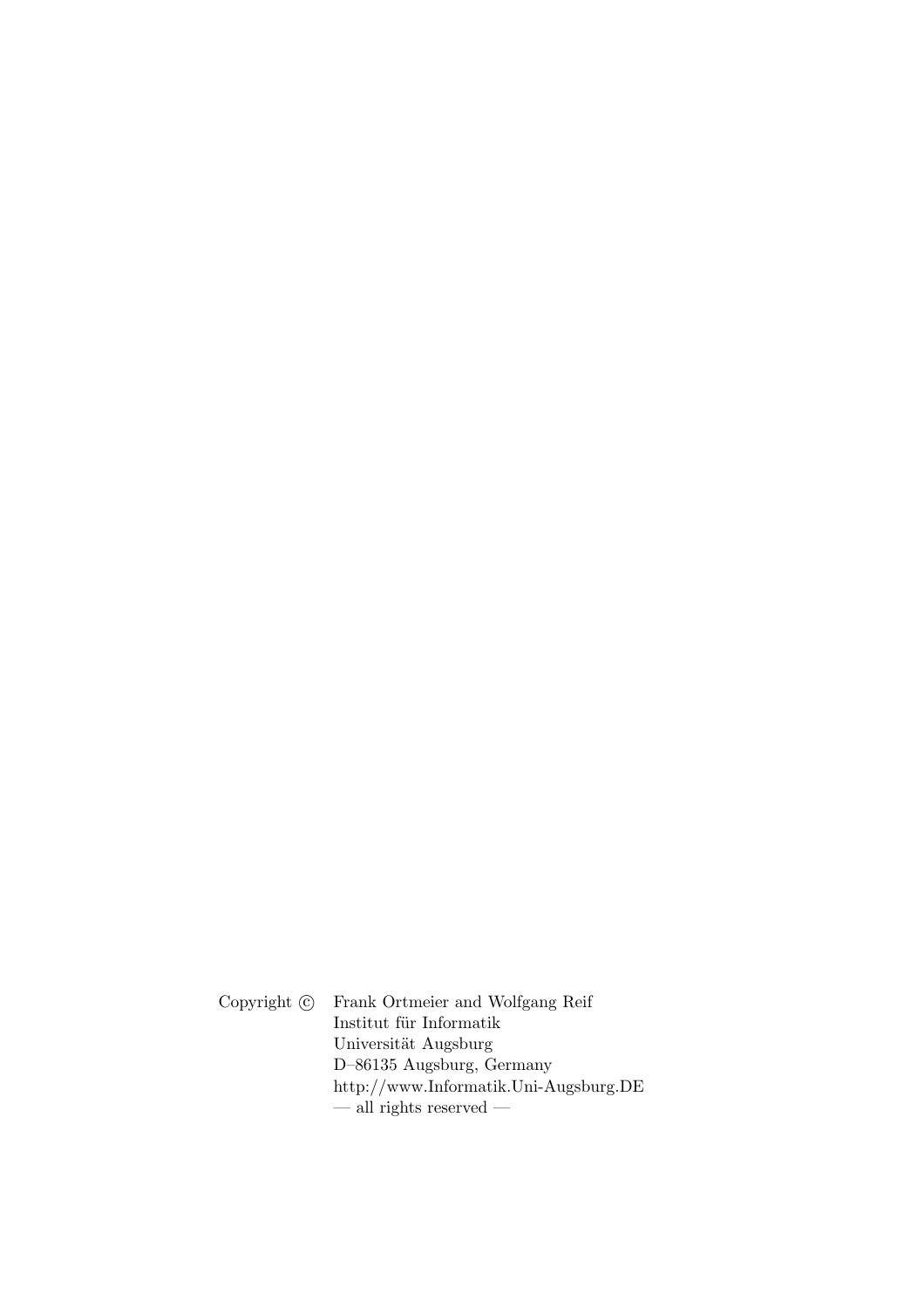Copyright  $\odot$  Frank Ortmeier and Wolfgang Reif  $\;$ Institut für Informatik Universität Augsburg D–86135 Augsburg, Germany http://www.Informatik.Uni-Augsburg.DE  $\frac{1}{x}$  in rights reserved  $\frac{1}{x}$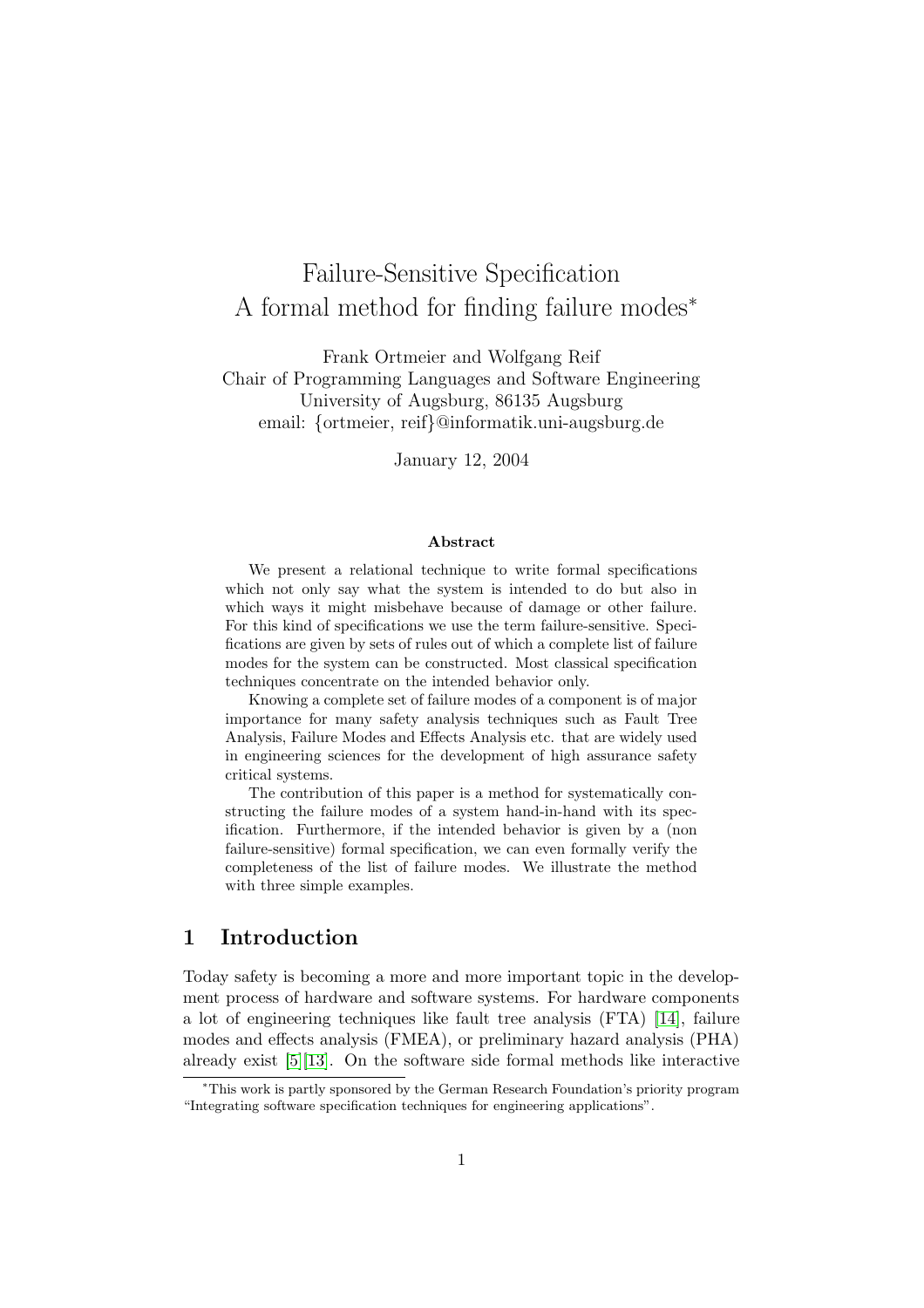## Failure-Sensitive Specification A formal method for finding failure modes<sup>∗</sup>

Frank Ortmeier and Wolfgang Reif Chair of Programming Languages and Software Engineering University of Augsburg, 86135 Augsburg email: {ortmeier, reif}@informatik.uni-augsburg.de

January 12, 2004

#### Abstract

We present a relational technique to write formal specifications which not only say what the system is intended to do but also in which ways it might misbehave because of damage or other failure. For this kind of specifications we use the term failure-sensitive. Specifications are given by sets of rules out of which a complete list of failure modes for the system can be constructed. Most classical specification techniques concentrate on the intended behavior only.

Knowing a complete set of failure modes of a component is of major importance for many safety analysis techniques such as Fault Tree Analysis, Failure Modes and Effects Analysis etc. that are widely used in engineering sciences for the development of high assurance safety critical systems.

The contribution of this paper is a method for systematically constructing the failure modes of a system hand-in-hand with its specification. Furthermore, if the intended behavior is given by a (non failure-sensitive) formal specification, we can even formally verify the completeness of the list of failure modes. We illustrate the method with three simple examples.

### 1 Introduction

Today safety is becoming a more and more important topic in the development process of hardware and software systems. For hardware components a lot of engineering techniques like fault tree analysis (FTA) [\[14\]](#page-23-0), failure modes and effects analysis (FMEA), or preliminary hazard analysis (PHA) already exist [\[5\]](#page-23-1)[\[13\]](#page-23-2). On the software side formal methods like interactive

<sup>∗</sup>This work is partly sponsored by the German Research Foundation's priority program "Integrating software specification techniques for engineering applications".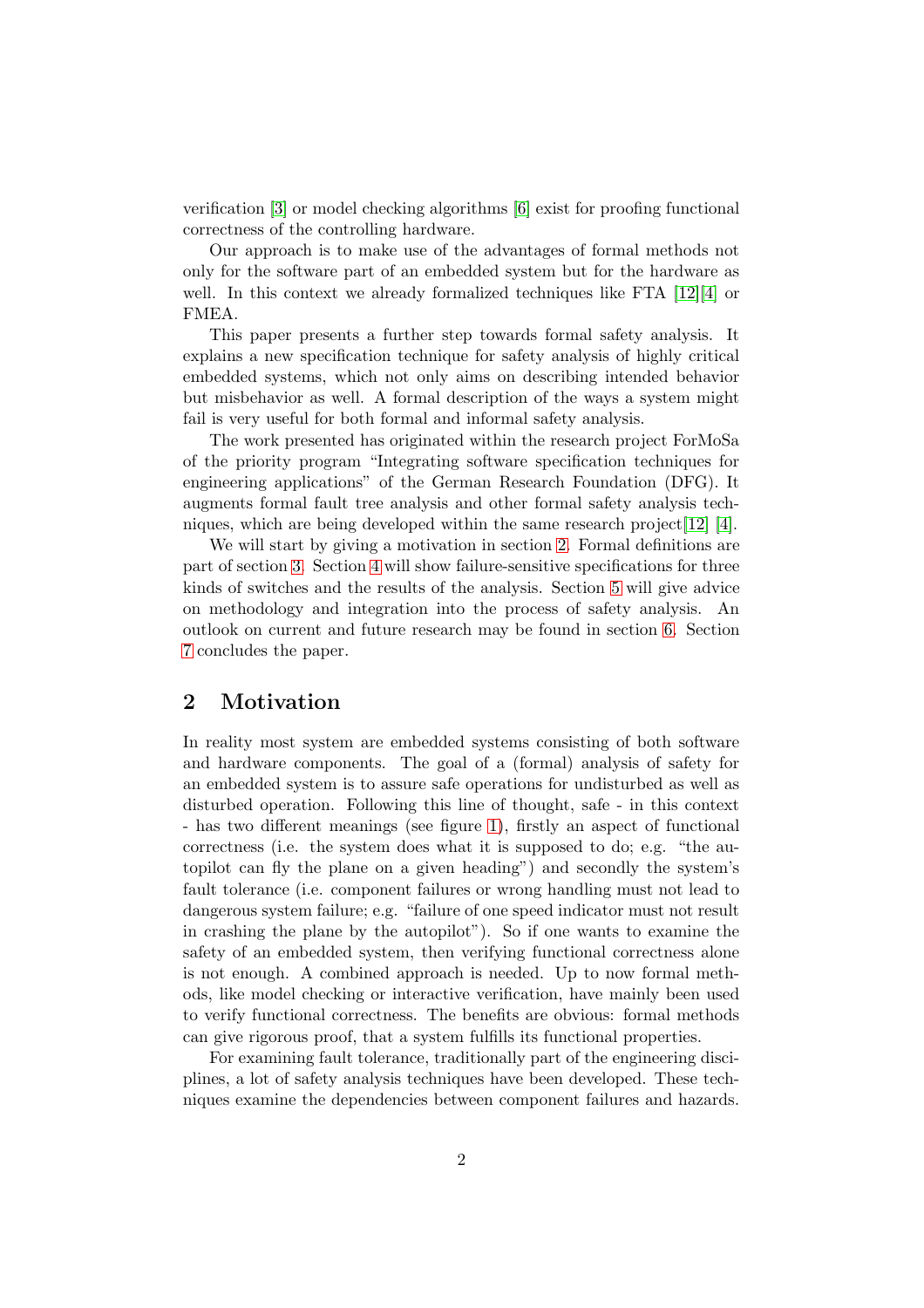verification [\[3\]](#page-23-3) or model checking algorithms [\[6\]](#page-23-4) exist for proofing functional correctness of the controlling hardware.

Our approach is to make use of the advantages of formal methods not only for the software part of an embedded system but for the hardware as well. In this context we already formalized techniques like FTA [\[12\]](#page-23-5)[\[4\]](#page-23-6) or FMEA.

This paper presents a further step towards formal safety analysis. It explains a new specification technique for safety analysis of highly critical embedded systems, which not only aims on describing intended behavior but misbehavior as well. A formal description of the ways a system might fail is very useful for both formal and informal safety analysis.

The work presented has originated within the research project ForMoSa of the priority program "Integrating software specification techniques for engineering applications" of the German Research Foundation (DFG). It augments formal fault tree analysis and other formal safety analysis techniques, which are being developed within the same research project[\[12\]](#page-23-5) [\[4\]](#page-23-6).

We will start by giving a motivation in section [2.](#page-3-0) Formal definitions are part of section [3.](#page-7-0) Section [4](#page-12-0) will show failure-sensitive specifications for three kinds of switches and the results of the analysis. Section [5](#page-18-0) will give advice on methodology and integration into the process of safety analysis. An outlook on current and future research may be found in section [6.](#page-20-0) Section [7](#page-22-0) concludes the paper.

## <span id="page-3-0"></span>2 Motivation

In reality most system are embedded systems consisting of both software and hardware components. The goal of a (formal) analysis of safety for an embedded system is to assure safe operations for undisturbed as well as disturbed operation. Following this line of thought, safe - in this context - has two different meanings (see figure [1\)](#page-4-0), firstly an aspect of functional correctness (i.e. the system does what it is supposed to do; e.g. "the autopilot can fly the plane on a given heading") and secondly the system's fault tolerance (i.e. component failures or wrong handling must not lead to dangerous system failure; e.g. "failure of one speed indicator must not result in crashing the plane by the autopilot"). So if one wants to examine the safety of an embedded system, then verifying functional correctness alone is not enough. A combined approach is needed. Up to now formal methods, like model checking or interactive verification, have mainly been used to verify functional correctness. The benefits are obvious: formal methods can give rigorous proof, that a system fulfills its functional properties.

For examining fault tolerance, traditionally part of the engineering disciplines, a lot of safety analysis techniques have been developed. These techniques examine the dependencies between component failures and hazards.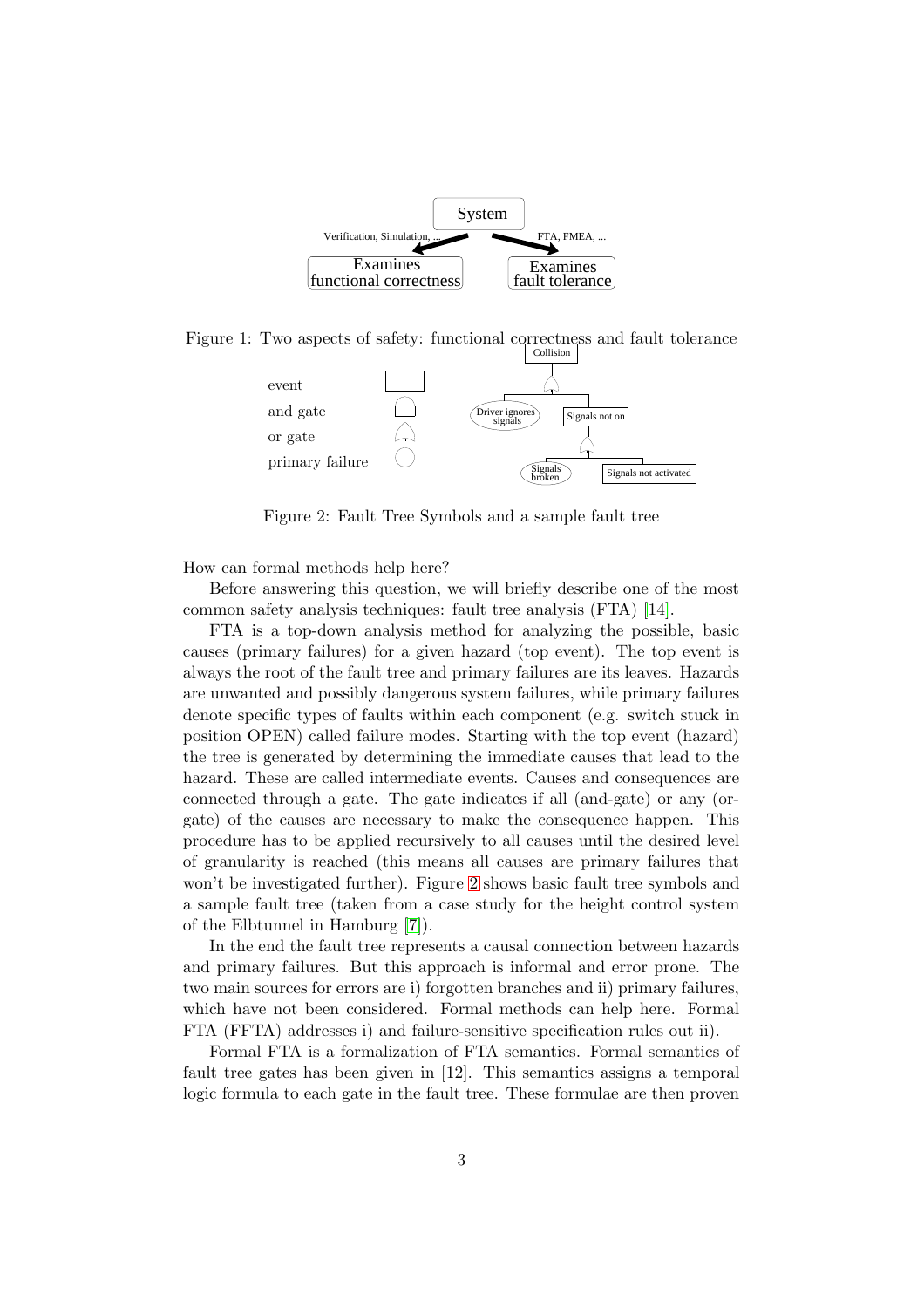

<span id="page-4-0"></span>Figure 1: Two aspects of safety: functional correctness and fault tolerance



<span id="page-4-1"></span>Figure 2: Fault Tree Symbols and a sample fault tree

How can formal methods help here?

Before answering this question, we will briefly describe one of the most common safety analysis techniques: fault tree analysis (FTA) [\[14\]](#page-23-0).

FTA is a top-down analysis method for analyzing the possible, basic causes (primary failures) for a given hazard (top event). The top event is always the root of the fault tree and primary failures are its leaves. Hazards are unwanted and possibly dangerous system failures, while primary failures denote specific types of faults within each component (e.g. switch stuck in position OPEN) called failure modes. Starting with the top event (hazard) the tree is generated by determining the immediate causes that lead to the hazard. These are called intermediate events. Causes and consequences are connected through a gate. The gate indicates if all (and-gate) or any (orgate) of the causes are necessary to make the consequence happen. This procedure has to be applied recursively to all causes until the desired level of granularity is reached (this means all causes are primary failures that won't be investigated further). Figure [2](#page-4-1) shows basic fault tree symbols and a sample fault tree (taken from a case study for the height control system of the Elbtunnel in Hamburg [\[7\]](#page-23-7)).

In the end the fault tree represents a causal connection between hazards and primary failures. But this approach is informal and error prone. The two main sources for errors are i) forgotten branches and ii) primary failures, which have not been considered. Formal methods can help here. Formal FTA (FFTA) addresses i) and failure-sensitive specification rules out ii).

Formal FTA is a formalization of FTA semantics. Formal semantics of fault tree gates has been given in [\[12\]](#page-23-5). This semantics assigns a temporal logic formula to each gate in the fault tree. These formulae are then proven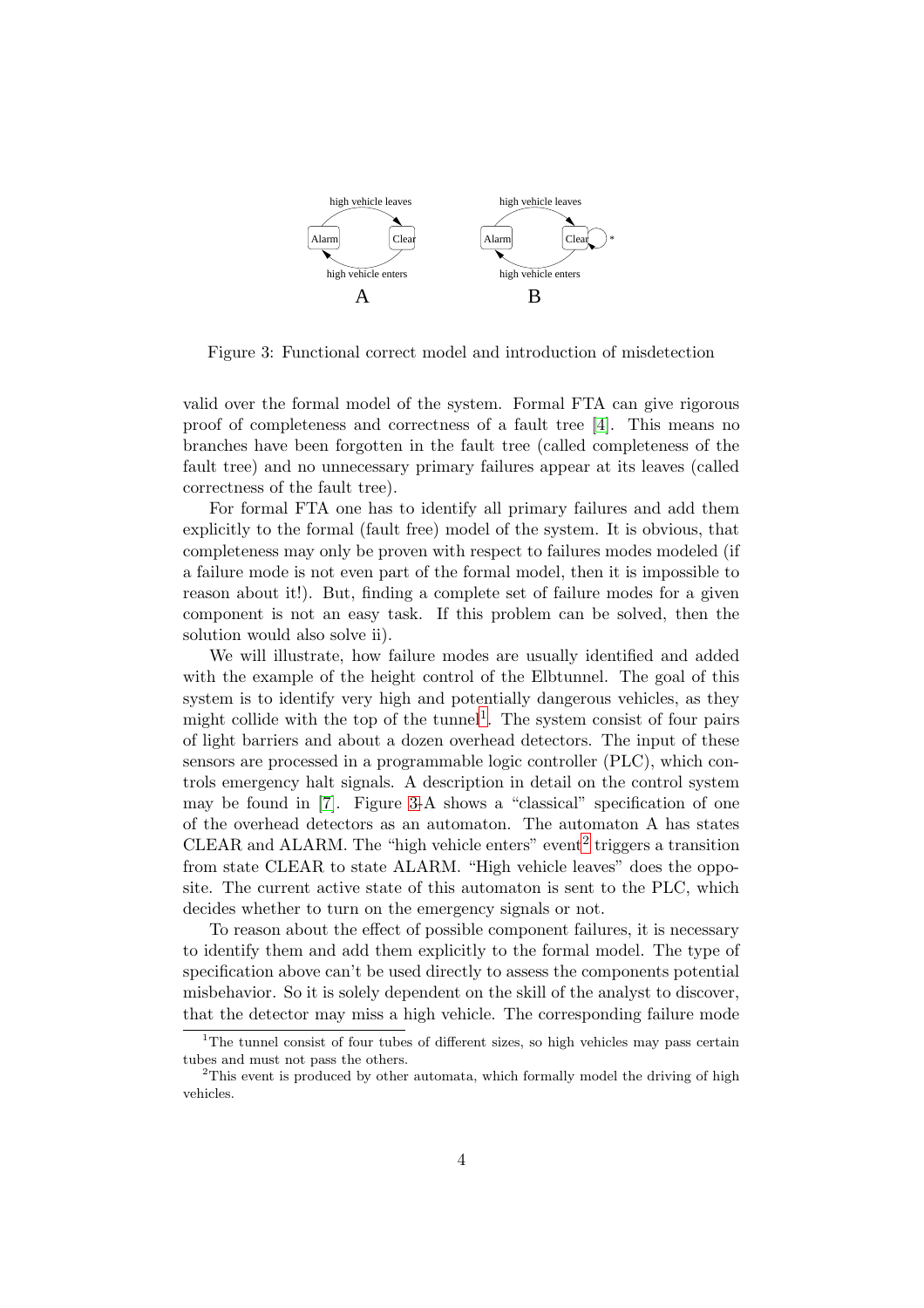

<span id="page-5-1"></span>Figure 3: Functional correct model and introduction of misdetection

valid over the formal model of the system. Formal FTA can give rigorous proof of completeness and correctness of a fault tree [\[4\]](#page-23-6). This means no branches have been forgotten in the fault tree (called completeness of the fault tree) and no unnecessary primary failures appear at its leaves (called correctness of the fault tree).

For formal FTA one has to identify all primary failures and add them explicitly to the formal (fault free) model of the system. It is obvious, that completeness may only be proven with respect to failures modes modeled (if a failure mode is not even part of the formal model, then it is impossible to reason about it!). But, finding a complete set of failure modes for a given component is not an easy task. If this problem can be solved, then the solution would also solve ii).

We will illustrate, how failure modes are usually identified and added with the example of the height control of the Elbtunnel. The goal of this system is to identify very high and potentially dangerous vehicles, as they might collide with the top of the tunnel<sup>[1](#page-5-0)</sup>. The system consist of four pairs of light barriers and about a dozen overhead detectors. The input of these sensors are processed in a programmable logic controller (PLC), which controls emergency halt signals. A description in detail on the control system may be found in [\[7\]](#page-23-7). Figure [3-](#page-5-1)A shows a "classical" specification of one of the overhead detectors as an automaton. The automaton A has states CLEAR and ALARM. The "high vehicle enters" event<sup>[2](#page-5-2)</sup> triggers a transition from state CLEAR to state ALARM. "High vehicle leaves" does the opposite. The current active state of this automaton is sent to the PLC, which decides whether to turn on the emergency signals or not.

To reason about the effect of possible component failures, it is necessary to identify them and add them explicitly to the formal model. The type of specification above can't be used directly to assess the components potential misbehavior. So it is solely dependent on the skill of the analyst to discover, that the detector may miss a high vehicle. The corresponding failure mode

<span id="page-5-0"></span><sup>&</sup>lt;sup>1</sup>The tunnel consist of four tubes of different sizes, so high vehicles may pass certain tubes and must not pass the others.

<span id="page-5-2"></span><sup>&</sup>lt;sup>2</sup>This event is produced by other automata, which formally model the driving of high vehicles.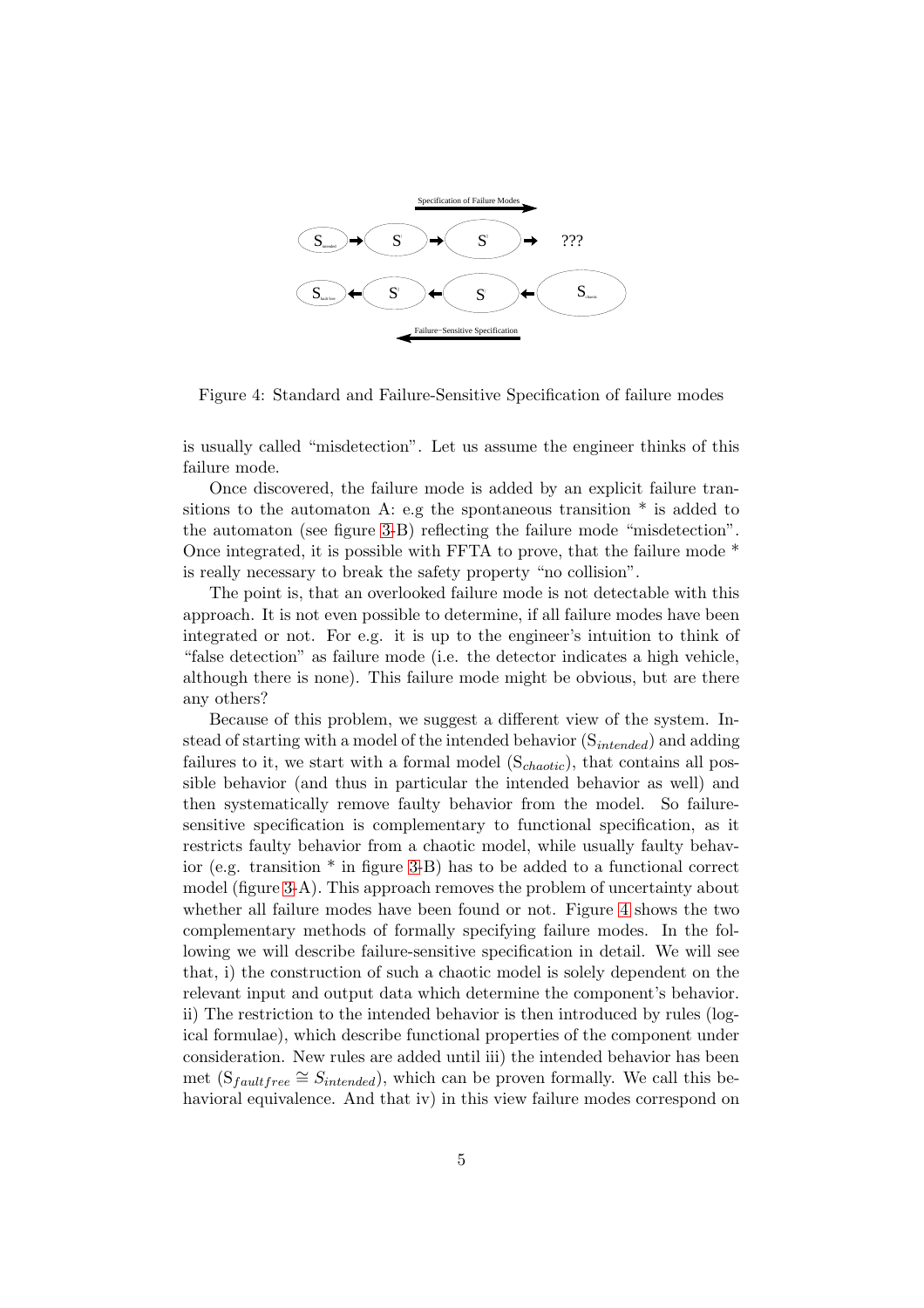

<span id="page-6-0"></span>Figure 4: Standard and Failure-Sensitive Specification of failure modes

is usually called "misdetection". Let us assume the engineer thinks of this failure mode.

Once discovered, the failure mode is added by an explicit failure transitions to the automaton A: e.g the spontaneous transition  $*$  is added to the automaton (see figure [3-](#page-5-1)B) reflecting the failure mode "misdetection". Once integrated, it is possible with FFTA to prove, that the failure mode \* is really necessary to break the safety property "no collision".

The point is, that an overlooked failure mode is not detectable with this approach. It is not even possible to determine, if all failure modes have been integrated or not. For e.g. it is up to the engineer's intuition to think of "false detection" as failure mode (i.e. the detector indicates a high vehicle, although there is none). This failure mode might be obvious, but are there any others?

Because of this problem, we suggest a different view of the system. Instead of starting with a model of the intended behavior  $(S_{intended})$  and adding failures to it, we start with a formal model  $(S<sub>chaotic</sub>)$ , that contains all possible behavior (and thus in particular the intended behavior as well) and then systematically remove faulty behavior from the model. So failuresensitive specification is complementary to functional specification, as it restricts faulty behavior from a chaotic model, while usually faulty behavior (e.g. transition \* in figure [3-](#page-5-1)B) has to be added to a functional correct model (figure [3-](#page-5-1)A). This approach removes the problem of uncertainty about whether all failure modes have been found or not. Figure [4](#page-6-0) shows the two complementary methods of formally specifying failure modes. In the following we will describe failure-sensitive specification in detail. We will see that, i) the construction of such a chaotic model is solely dependent on the relevant input and output data which determine the component's behavior. ii) The restriction to the intended behavior is then introduced by rules (logical formulae), which describe functional properties of the component under consideration. New rules are added until iii) the intended behavior has been met  $(S_{faultfree} \cong S_{intended})$ , which can be proven formally. We call this behavioral equivalence. And that iv) in this view failure modes correspond on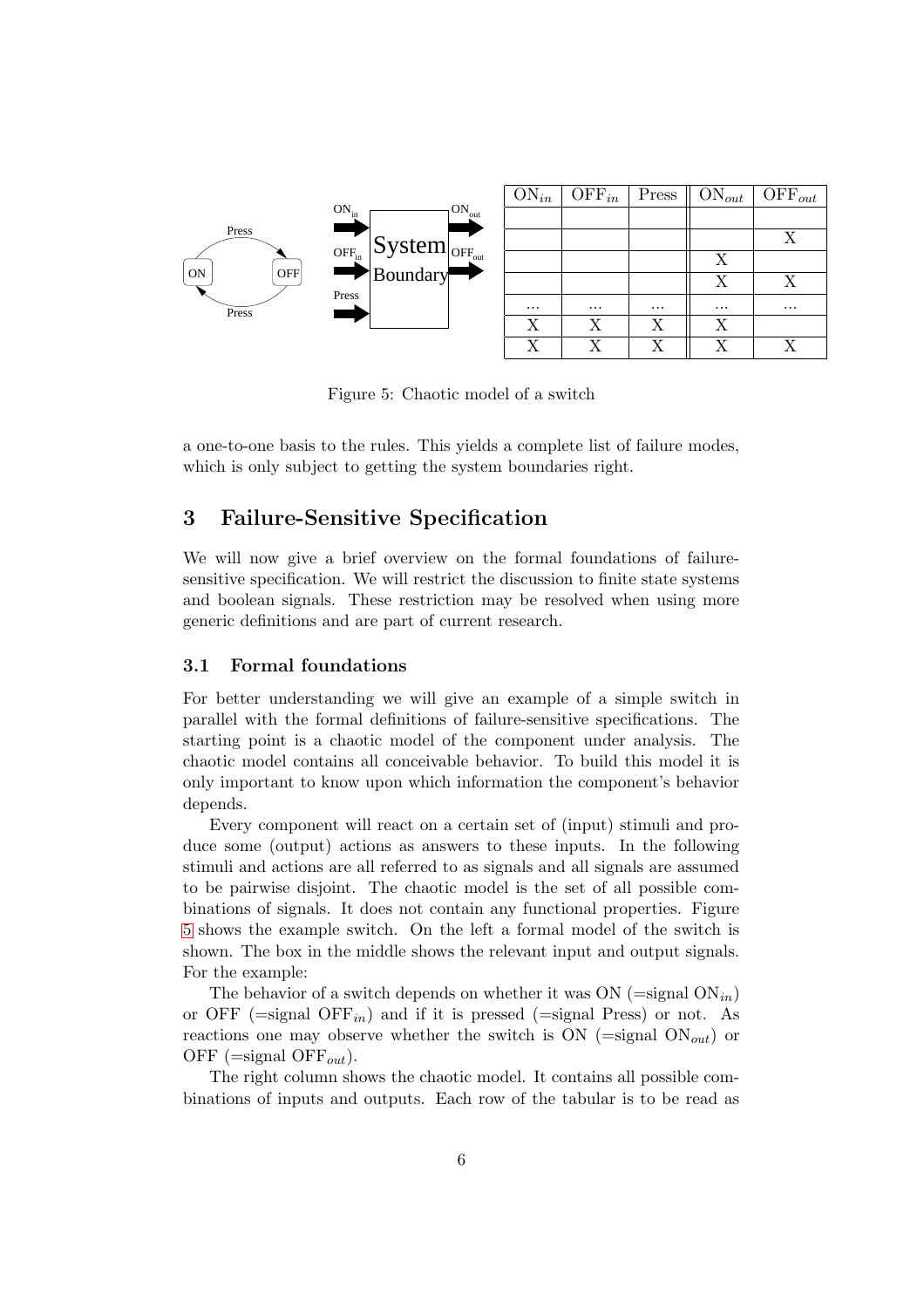

<span id="page-7-1"></span>Figure 5: Chaotic model of a switch

a one-to-one basis to the rules. This yields a complete list of failure modes, which is only subject to getting the system boundaries right.

## <span id="page-7-0"></span>3 Failure-Sensitive Specification

We will now give a brief overview on the formal foundations of failuresensitive specification. We will restrict the discussion to finite state systems and boolean signals. These restriction may be resolved when using more generic definitions and are part of current research.

#### 3.1 Formal foundations

For better understanding we will give an example of a simple switch in parallel with the formal definitions of failure-sensitive specifications. The starting point is a chaotic model of the component under analysis. The chaotic model contains all conceivable behavior. To build this model it is only important to know upon which information the component's behavior depends.

Every component will react on a certain set of (input) stimuli and produce some (output) actions as answers to these inputs. In the following stimuli and actions are all referred to as signals and all signals are assumed to be pairwise disjoint. The chaotic model is the set of all possible combinations of signals. It does not contain any functional properties. Figure [5](#page-7-1) shows the example switch. On the left a formal model of the switch is shown. The box in the middle shows the relevant input and output signals. For the example:

The behavior of a switch depends on whether it was ON (=signal  $ON_{in}$ ) or OFF ( $=$ signal OFF $_{in}$ ) and if it is pressed ( $=$ signal Press) or not. As reactions one may observe whether the switch is  $ON$  (=signal  $ON_{out}$ ) or OFF (=signal OFF<sub>out</sub>).

The right column shows the chaotic model. It contains all possible combinations of inputs and outputs. Each row of the tabular is to be read as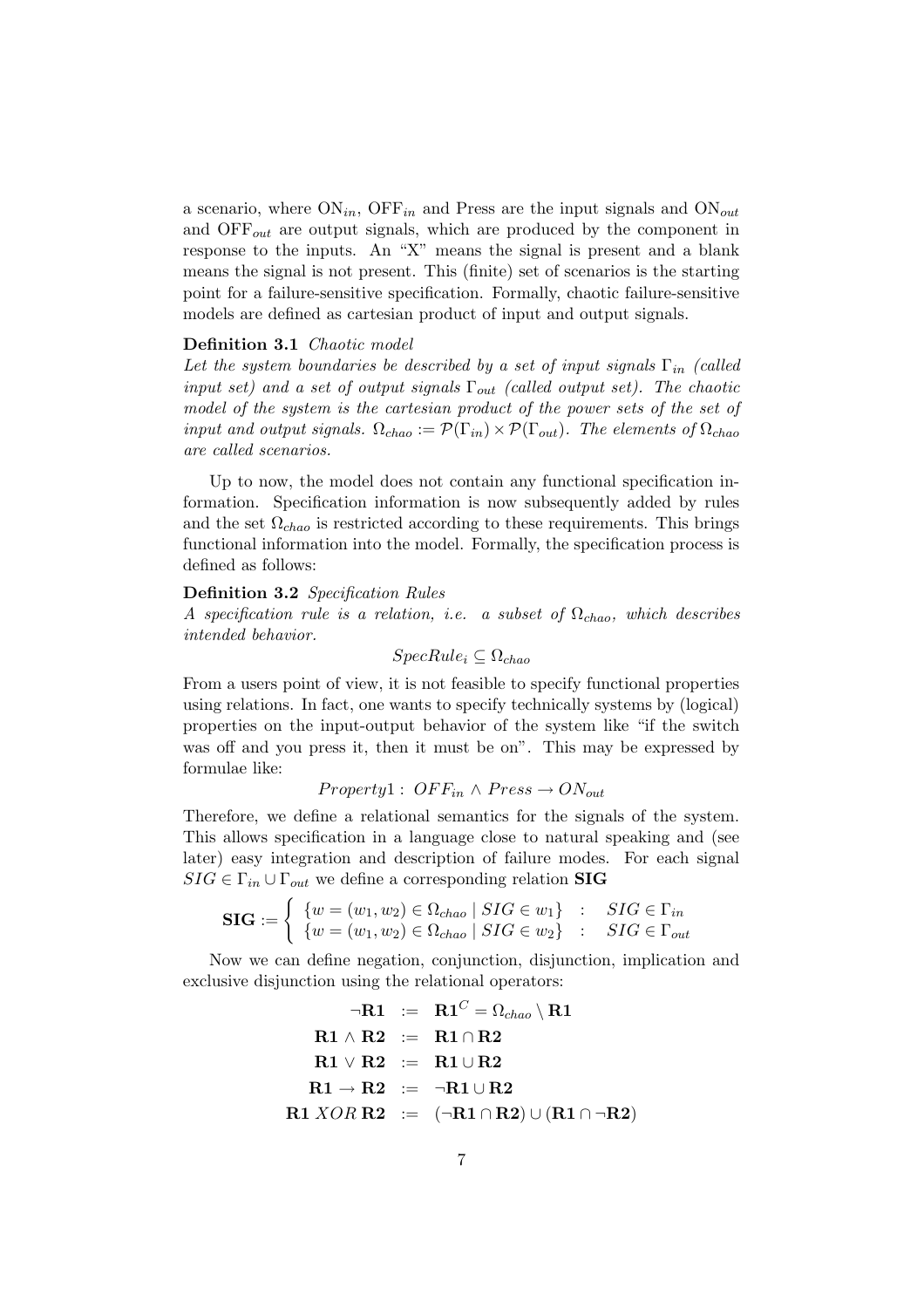a scenario, where  $ON_{in}$ , OFF<sub>in</sub> and Press are the input signals and  $ON_{out}$ and  $\text{OFF}_{out}$  are output signals, which are produced by the component in response to the inputs. An "X" means the signal is present and a blank means the signal is not present. This (finite) set of scenarios is the starting point for a failure-sensitive specification. Formally, chaotic failure-sensitive models are defined as cartesian product of input and output signals.

#### Definition 3.1 Chaotic model

Let the system boundaries be described by a set of input signals  $\Gamma_{in}$  (called input set) and a set of output signals  $\Gamma_{out}$  (called output set). The chaotic model of the system is the cartesian product of the power sets of the set of input and output signals.  $\Omega_{chao} := \mathcal{P}(\Gamma_{in}) \times \mathcal{P}(\Gamma_{out})$ . The elements of  $\Omega_{chao}$ are called scenarios.

Up to now, the model does not contain any functional specification information. Specification information is now subsequently added by rules and the set  $\Omega_{chao}$  is restricted according to these requirements. This brings functional information into the model. Formally, the specification process is defined as follows:

#### Definition 3.2 Specification Rules

A specification rule is a relation, i.e. a subset of  $\Omega_{chao}$ , which describes intended behavior.

$$
SpecRule_i \subseteq \Omega_{chao}
$$

From a users point of view, it is not feasible to specify functional properties using relations. In fact, one wants to specify technically systems by (logical) properties on the input-output behavior of the system like "if the switch was off and you press it, then it must be on". This may be expressed by formulae like:

$$
Property 1: OFF_{in} \wedge Press \rightarrow ON_{out}
$$

Therefore, we define a relational semantics for the signals of the system. This allows specification in a language close to natural speaking and (see later) easy integration and description of failure modes. For each signal  $SIG \in \Gamma_{in} \cup \Gamma_{out}$  we define a corresponding relation **SIG** 

$$
\mathbf{SIG} := \begin{cases} \n\{w = (w_1, w_2) \in \Omega_{chao} \mid SIG \in w_1\} & \colon & SIG \in \Gamma_{in} \\
\{w = (w_1, w_2) \in \Omega_{chao} \mid SIG \in w_2\} & \colon & SIG \in \Gamma_{out}\n\end{cases}
$$

Now we can define negation, conjunction, disjunction, implication and exclusive disjunction using the relational operators:

$$
\neg R1 \ := \ R1^C = \Omega_{chao} \setminus R1 \\ \text{R1} \land R2 \ := \ R1 \cap R2 \\ \text{R1} \lor R2 \ := \ R1 \cup R2 \\ \text{R1} \to R2 \ := \ \neg R1 \cup R2 \\ \text{R1} \ XOR \ R2 \ := \ (\neg R1 \cap R2) \cup (R1 \cap \neg R2)
$$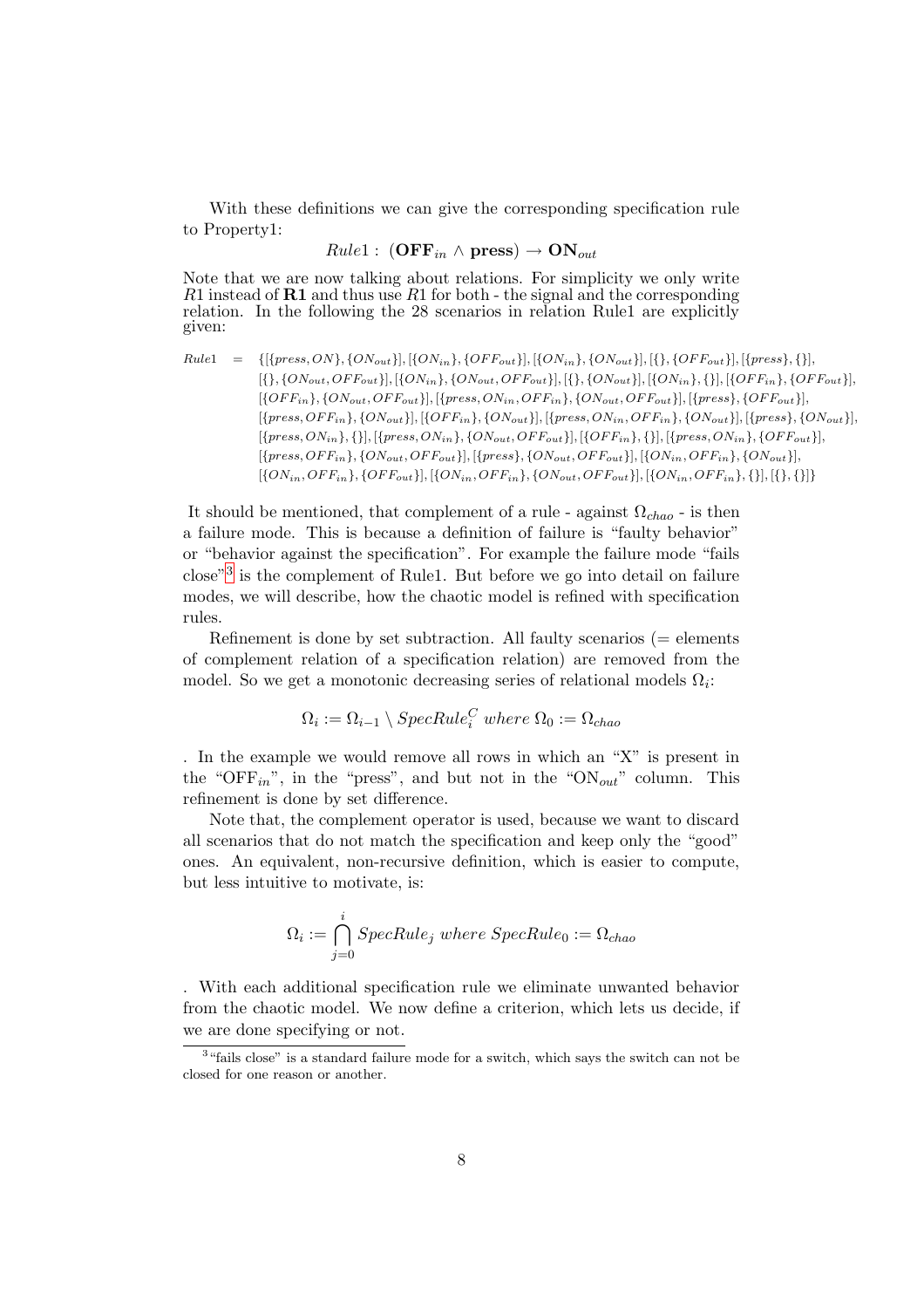With these definitions we can give the corresponding specification rule to Property1:

$$
Rule1:~({\bf OFF}_{in} \wedge {\bf press}) \rightarrow {\bf ON}_{out}
$$

Note that we are now talking about relations. For simplicity we only write  $R1$  instead of  $R1$  and thus use  $R1$  for both - the signal and the corresponding relation. In the following the 28 scenarios in relation Rule1 are explicitly given:

$$
Rule1 = \{[\{press, ON\}, \{ON_{out}\}], [\{ON_{in}\}, \{OF_{out}\}], [\{ON_{in}\}, \{ON_{out}\}], [\{\}, \{OF_{Out}\}], [\{pres\}, \{\}\}], [\{P_{out}, OF_{out}\}], [\{ON_{out}, OF_{out}\}], [\{ON_{out}, OF_{out}\}], [\{ON_{out}, OF_{out}\}], [\{ON_{out}, OF_{out}\}], [\{ON_{out}, OF_{out}\}], [\{ON_{in}\}, \{N_{in}\}, \{OF_{out}\}], [\{OF_{in}\}, \{ON_{out}, OF_{out}\}], [\{pres, ON_{out}\}], [\{pres, OF_{in}\}, \{ON_{out}\}], [\{pres, OF_{in}\}, \{ON_{out}\}], [\{pres, OF_{in}\}, \{ON_{out}\}], [\{pres, OF_{in}\}, \{ON_{out}\}], [\{pres, OF_{in}\}, \{ON_{out}\}], [\{pres, ON_{out}\}], [\{pres, ON_{out}\}], [\{pres, ON_{out}\}], [\{pres, ON_{out}\}], [\{pre, ON_{out}\}], [\{O, For, OF_{in}\}], [\{ON_{in}, OF_{in}\}], [\{ON_{in}, OF_{in}\}], [\{ON_{in}, OF_{in}\}], [\{ON_{in}, OF_{in}\}], [\{ON_{in}, OF_{in}\}], [\{ON_{in}, OF_{in}\}], [\{ON_{in}, OF_{in}\}], [\{ON_{in}, OF_{in}\}], [\{ON_{in}, OF_{in}\}], [\{ON_{in}, OF_{in}\}], [\{ON_{in}, OF_{in}\}, \{N_{in}\}], [\{ON_{in}, OF_{in}\}, \{N_{out}\}]. [\{ON_{in}, OF_{in}\}, \{N_{out}\}]. [\{ON_{in}, OF_{in}\}, \{N_{out}\}]. [\{ON_{in}, OF_{in}\}, \{N_{out}\}]. [\{ON_{in}, OF_{in}\}, \{N_{out}\}]. [\{N_{out}\}, \{N_{out}\}]. [\{NN_{in}\}, \{N_{out}\}]. [\{N_{out}\}, \{N_{out}\}]. [\{N_{out}\}, \{N_{out}\}]. [\{N_{out}\}, \{N_{out}\}]. [\{N_{out}\}, \{N_{out}\}]. [\{N_{out}\}, \{N_{out}\}]. [\{N_{out}\}, \{N_{out}\}]. [\{N_{out}\}, \{N_{out}\}]. [\{N_{out}\}, \{NN_{out}\}]. [\{N_{out}\}, \{ON_{out}\}]. [\{NN_{in}\}, \{ON_{out}\}]. [\{NN_{in}\}, \{ON_{out}\}]. [\{NN_{in}\}, \{ON_{out}\}]. [\{NN_{in}\}, \{ON
$$

It should be mentioned, that complement of a rule - against  $\Omega_{chao}$  - is then a failure mode. This is because a definition of failure is "faulty behavior" or "behavior against the specification". For example the failure mode "fails close"[3](#page-9-0) is the complement of Rule1. But before we go into detail on failure modes, we will describe, how the chaotic model is refined with specification rules.

Refinement is done by set subtraction. All faulty scenarios  $(=$  elements of complement relation of a specification relation) are removed from the model. So we get a monotonic decreasing series of relational models  $\Omega_i$ :

$$
\Omega_i := \Omega_{i-1} \setminus SpecRule_i^C \ where \ \Omega_0 := \Omega_{chao}
$$

. In the example we would remove all rows in which an "X" is present in the "OFF<sub>in</sub>", in the "press", and but not in the "ON<sub>out</sub>" column. This refinement is done by set difference.

Note that, the complement operator is used, because we want to discard all scenarios that do not match the specification and keep only the "good" ones. An equivalent, non-recursive definition, which is easier to compute, but less intuitive to motivate, is:

$$
\Omega_i := \bigcap_{j=0}^i SpecRule_j \ where \ SpecRule_0 := \Omega_{chao}
$$

. With each additional specification rule we eliminate unwanted behavior from the chaotic model. We now define a criterion, which lets us decide, if we are done specifying or not.

<span id="page-9-0"></span><sup>&</sup>lt;sup>3</sup> "fails close" is a standard failure mode for a switch, which says the switch can not be closed for one reason or another.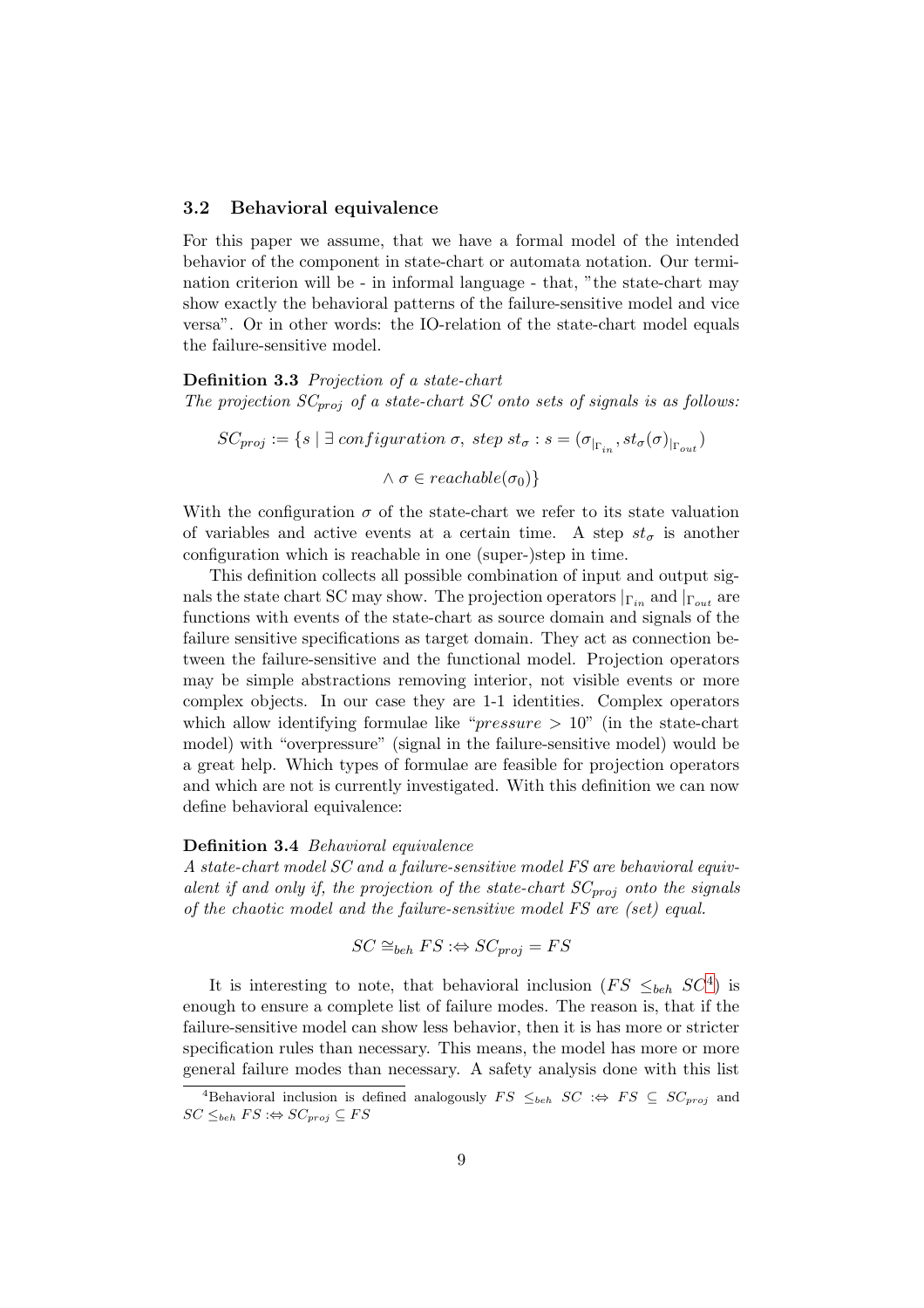#### 3.2 Behavioral equivalence

For this paper we assume, that we have a formal model of the intended behavior of the component in state-chart or automata notation. Our termination criterion will be - in informal language - that, "the state-chart may show exactly the behavioral patterns of the failure-sensitive model and vice versa". Or in other words: the IO-relation of the state-chart model equals the failure-sensitive model.

#### Definition 3.3 Projection of a state-chart

The projection  $SC_{proj}$  of a state-chart SC onto sets of signals is as follows:

 $SC_{proj} := \{s \mid \exists \; configuration \; \sigma, \; step \; st_{\sigma} : s = (\sigma_{|_{\Gamma_{in}}}, st_{\sigma}(\sigma)_{|_{\Gamma_{out}}})$  $\land \sigma \in reachable(\sigma_0)\}$ 

With the configuration  $\sigma$  of the state-chart we refer to its state valuation of variables and active events at a certain time. A step  $st_{\sigma}$  is another configuration which is reachable in one (super-)step in time.

This definition collects all possible combination of input and output signals the state chart SC may show. The projection operators  $|_{\Gamma_{in}}$  and  $|_{\Gamma_{out}}$  are functions with events of the state-chart as source domain and signals of the failure sensitive specifications as target domain. They act as connection between the failure-sensitive and the functional model. Projection operators may be simple abstractions removing interior, not visible events or more complex objects. In our case they are 1-1 identities. Complex operators which allow identifying formulae like " $pressure > 10$ " (in the state-chart model) with "overpressure" (signal in the failure-sensitive model) would be a great help. Which types of formulae are feasible for projection operators and which are not is currently investigated. With this definition we can now define behavioral equivalence:

#### Definition 3.4 Behavioral equivalence

A state-chart model SC and a failure-sensitive model FS are behavioral equivalent if and only if, the projection of the state-chart  $SC_{proj}$  onto the signals of the chaotic model and the failure-sensitive model FS are (set) equal.

$$
SC \cong_{beh} FS : \Leftrightarrow SC_{proj} = FS
$$

It is interesting to note, that behavioral inclusion  $(FS \leq_{beh} SC^4)$  $(FS \leq_{beh} SC^4)$  $(FS \leq_{beh} SC^4)$  is enough to ensure a complete list of failure modes. The reason is, that if the failure-sensitive model can show less behavior, then it is has more or stricter specification rules than necessary. This means, the model has more or more general failure modes than necessary. A safety analysis done with this list

<span id="page-10-0"></span> $\overline{A}_{\text{Behavior}}$  inclusion is defined analogously  $FS \leq_{beh} SC \implies FS \subseteq SC_{proj}$  and  $SC \leq_{beh} FS :\Leftrightarrow SC_{proj} \subseteq FS$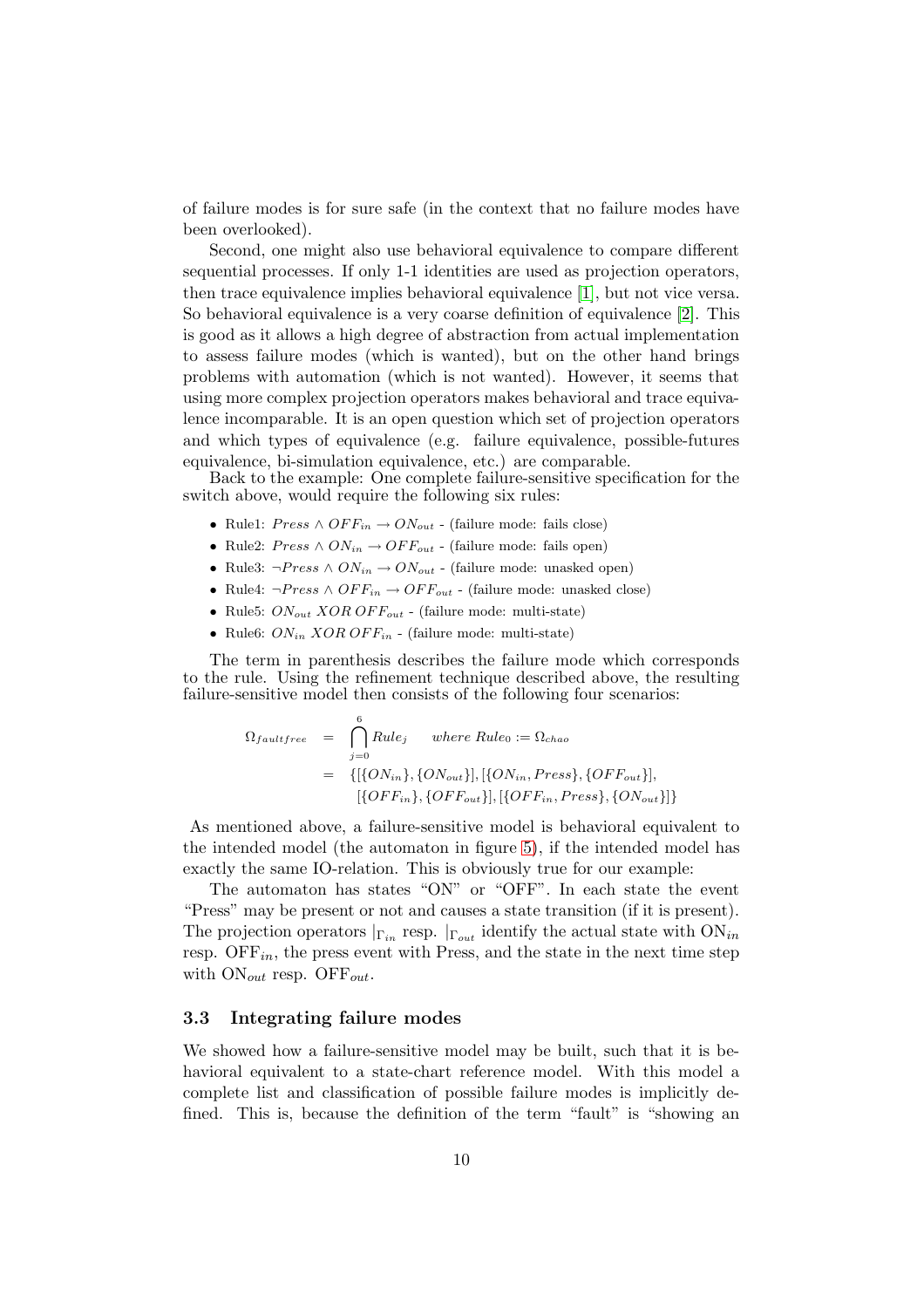of failure modes is for sure safe (in the context that no failure modes have been overlooked).

Second, one might also use behavioral equivalence to compare different sequential processes. If only 1-1 identities are used as projection operators, then trace equivalence implies behavioral equivalence [\[1\]](#page-22-1), but not vice versa. So behavioral equivalence is a very coarse definition of equivalence [\[2\]](#page-22-2). This is good as it allows a high degree of abstraction from actual implementation to assess failure modes (which is wanted), but on the other hand brings problems with automation (which is not wanted). However, it seems that using more complex projection operators makes behavioral and trace equivalence incomparable. It is an open question which set of projection operators and which types of equivalence (e.g. failure equivalence, possible-futures equivalence, bi-simulation equivalence, etc.) are comparable.

Back to the example: One complete failure-sensitive specification for the switch above, would require the following six rules:

- Rule1:  $Press \wedge OFF_{in} \rightarrow ON_{out}$  (failure mode: fails close)
- Rule2:  $Press \wedge ON_{in} \rightarrow OFF_{out}$  (failure mode: fails open)
- Rule3: ¬ $Press \wedge ON_{in} \rightarrow ON_{out}$  (failure mode: unasked open)
- Rule4:  $\neg Press \land OFF_{in} \rightarrow OFF_{out}$  (failure mode: unasked close)
- Rule5:  $ON_{out} XOR OFF_{out}$  (failure mode: multi-state)
- Rule6:  $ON_{in} XOR OFF_{in}$  (failure mode: multi-state)

The term in parenthesis describes the failure mode which corresponds to the rule. Using the refinement technique described above, the resulting failure-sensitive model then consists of the following four scenarios:

$$
\Omega_{faultfree} = \bigcap_{j=0}^{6} Rule_j \quad \text{where Rule}_0 := \Omega_{chao}
$$
  
= {[(ON<sub>in</sub>), {ON<sub>out</sub>}], [(ON<sub>in</sub>, Press}, {OFF<sub>out</sub>}],  
[(OFF<sub>in</sub>), {OFF<sub>out</sub>}], {[OFF<sub>in</sub>, Press}, {ON<sub>out</sub>]}]

As mentioned above, a failure-sensitive model is behavioral equivalent to the intended model (the automaton in figure [5\)](#page-7-1), if the intended model has exactly the same IO-relation. This is obviously true for our example:

The automaton has states "ON" or "OFF". In each state the event "Press" may be present or not and causes a state transition (if it is present). The projection operators  $|_{\Gamma_{in}}$  resp.  $|_{\Gamma_{out}}$  identify the actual state with  $ON_{in}$ resp.  $\text{OFF}_{in}$ , the press event with Press, and the state in the next time step with  $ON_{out}$  resp. OFF<sub>out</sub>.

#### <span id="page-11-0"></span>3.3 Integrating failure modes

We showed how a failure-sensitive model may be built, such that it is behavioral equivalent to a state-chart reference model. With this model a complete list and classification of possible failure modes is implicitly defined. This is, because the definition of the term "fault" is "showing an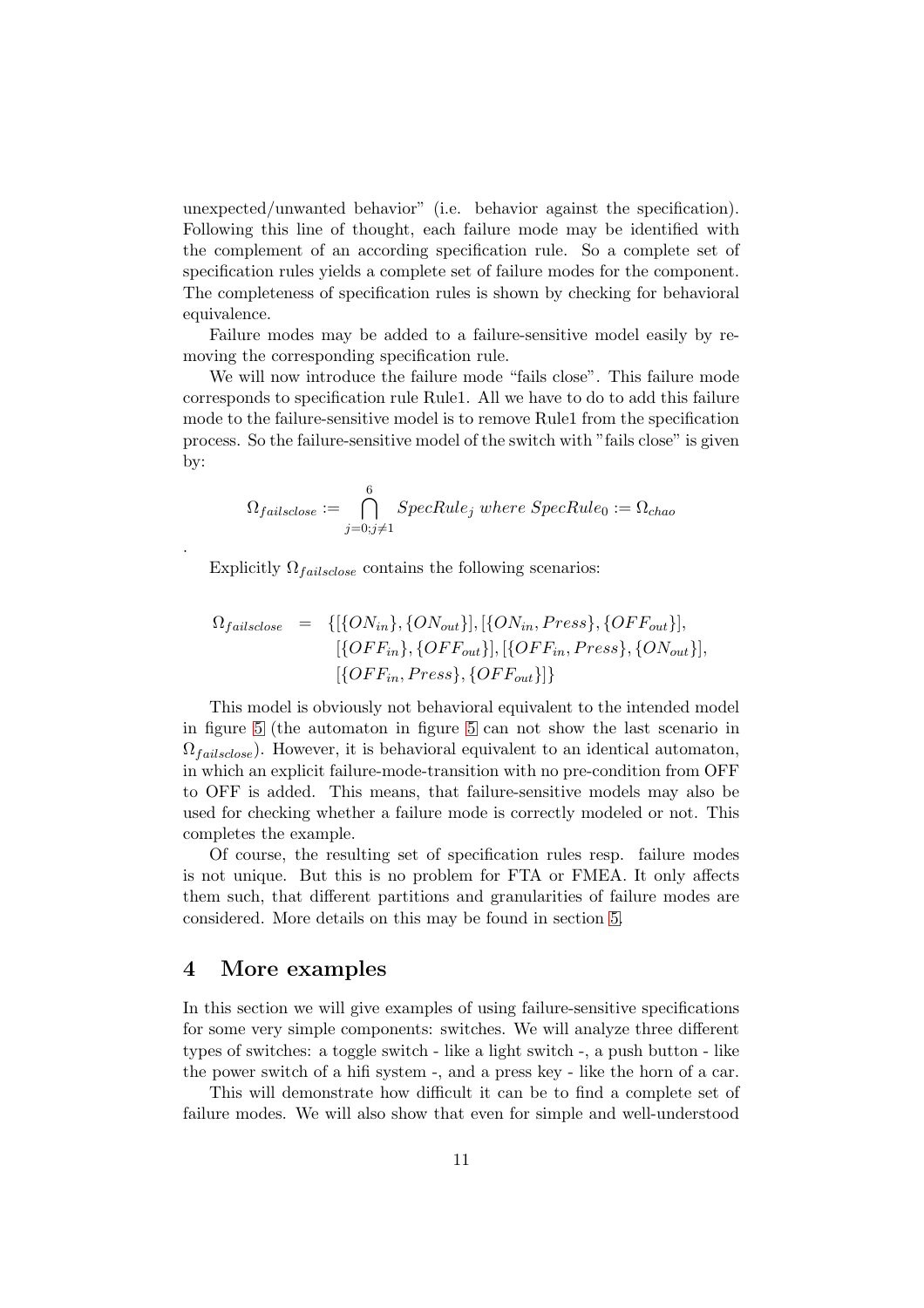unexpected/unwanted behavior" (i.e. behavior against the specification). Following this line of thought, each failure mode may be identified with the complement of an according specification rule. So a complete set of specification rules yields a complete set of failure modes for the component. The completeness of specification rules is shown by checking for behavioral equivalence.

Failure modes may be added to a failure-sensitive model easily by removing the corresponding specification rule.

We will now introduce the failure mode "fails close". This failure mode corresponds to specification rule Rule1. All we have to do to add this failure mode to the failure-sensitive model is to remove Rule1 from the specification process. So the failure-sensitive model of the switch with "fails close" is given by:

$$
\Omega_{fails close} := \bigcap_{j=0;j\neq 1}^{6} SpecRule_j\ where\ SpecRule_0 := \Omega_{chao}
$$

Explicitly  $\Omega_{fails close}$  contains the following scenarios:

$$
\Omega_{failsclose} = \{ [\{ON_{in}\}, \{ON_{out}\}], [\{ON_{in}, Press\}, \{OFF_{out}\}], [\{OFF_{in}\}, \{OFF_{in}\}, \{OFF_{out}\}], [\{OFF_{in}, Press\}, \{ON_{out}\}], [\{OFF_{in}, Press\}, \{OFF_{out}\}]\}
$$

This model is obviously not behavioral equivalent to the intended model in figure [5](#page-7-1) (the automaton in figure [5](#page-7-1) can not show the last scenario in  $\Omega_{fails close}$ ). However, it is behavioral equivalent to an identical automaton, in which an explicit failure-mode-transition with no pre-condition from OFF to OFF is added. This means, that failure-sensitive models may also be used for checking whether a failure mode is correctly modeled or not. This completes the example.

Of course, the resulting set of specification rules resp. failure modes is not unique. But this is no problem for FTA or FMEA. It only affects them such, that different partitions and granularities of failure modes are considered. More details on this may be found in section [5.](#page-18-0)

#### <span id="page-12-0"></span>4 More examples

.

In this section we will give examples of using failure-sensitive specifications for some very simple components: switches. We will analyze three different types of switches: a toggle switch - like a light switch -, a push button - like the power switch of a hifi system -, and a press key - like the horn of a car.

This will demonstrate how difficult it can be to find a complete set of failure modes. We will also show that even for simple and well-understood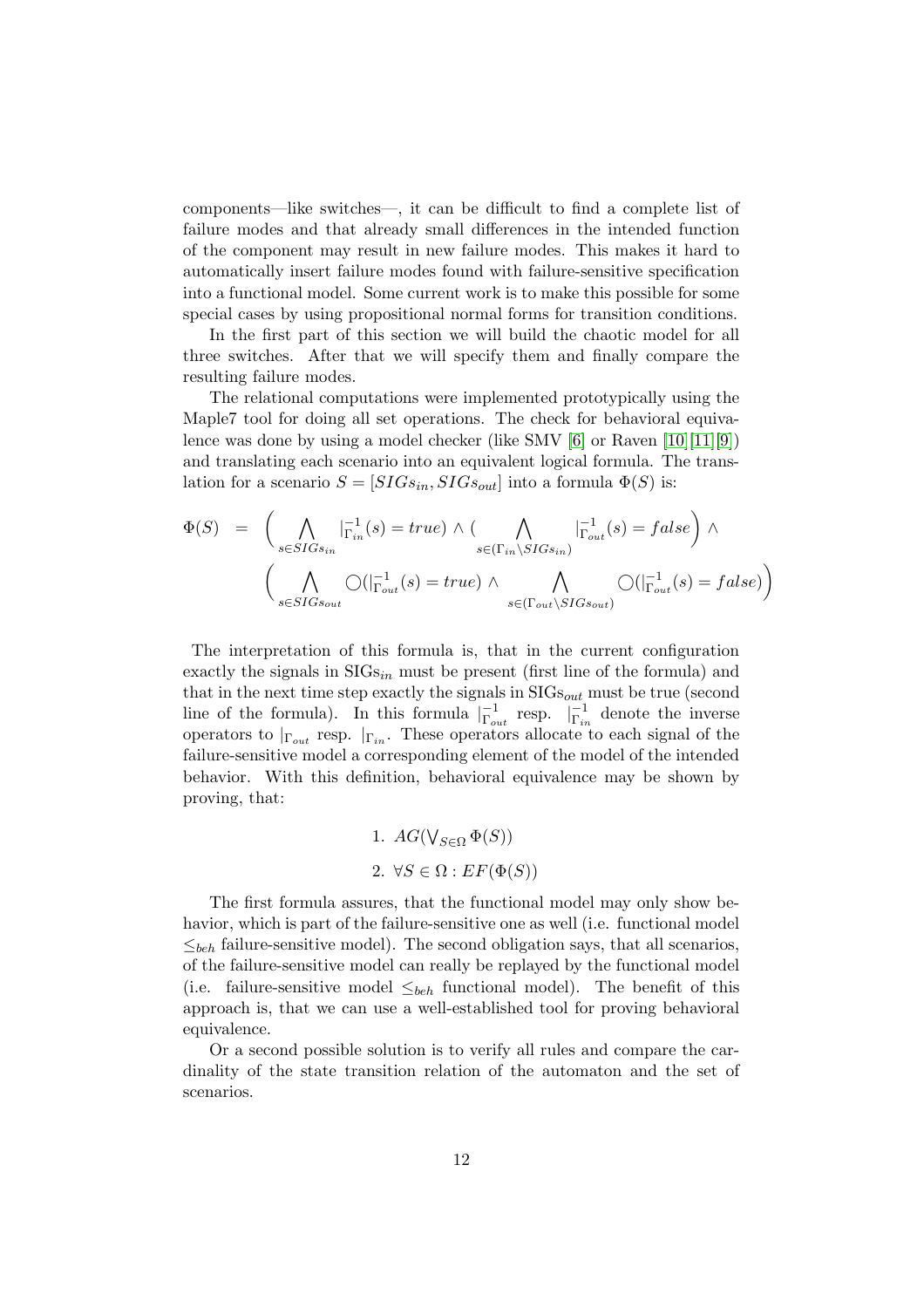components—like switches—, it can be difficult to find a complete list of failure modes and that already small differences in the intended function of the component may result in new failure modes. This makes it hard to automatically insert failure modes found with failure-sensitive specification into a functional model. Some current work is to make this possible for some special cases by using propositional normal forms for transition conditions.

In the first part of this section we will build the chaotic model for all three switches. After that we will specify them and finally compare the resulting failure modes.

The relational computations were implemented prototypically using the Maple7 tool for doing all set operations. The check for behavioral equivalence was done by using a model checker (like SMV [\[6\]](#page-23-4) or Raven [\[10\]](#page-23-8)[\[11\]](#page-23-9)[\[9\]](#page-23-10)) and translating each scenario into an equivalent logical formula. The translation for a scenario  $S = [SIGs_{in}, SIGs_{out}]$  into a formula  $\Phi(S)$  is:

$$
\Phi(S) = \left( \bigwedge_{s \in SIGs_{in}} |\mathbf{r}_{in}^{-1}(s) = true \right) \land \left( \bigwedge_{s \in (\Gamma_{in} \backslash SIGs_{in})} |\mathbf{r}_{out}^{-1}(s) = false \right) \land \left( \bigwedge_{s \in SIGs_{out}} \bigcirc (|\mathbf{r}_{out}^{-1}(s) = true) \land \bigwedge_{s \in (\Gamma_{out} \backslash SIGs_{out})} \bigcirc (|\mathbf{r}_{out}^{-1}(s) = false \right) \right)
$$

The interpretation of this formula is, that in the current configuration exactly the signals in  $SIGs<sub>in</sub>$  must be present (first line of the formula) and that in the next time step exactly the signals in  $SIS_{out}$  must be true (second line of the formula). In this formula  $\vert_{\Gamma_{out}}^{-1}$  resp.  $\vert_{\Gamma_{in}}^{-1}$  denote the inverse operators to  $|_{\Gamma_{out}}$  resp.  $|_{\Gamma_{in}}$ . These operators allocate to each signal of the failure-sensitive model a corresponding element of the model of the intended behavior. With this definition, behavioral equivalence may be shown by proving, that:

1. 
$$
AG(\bigvee_{S \in \Omega} \Phi(S))
$$
  
2.  $\forall S \in \Omega : EF(\Phi(S))$ 

The first formula assures, that the functional model may only show behavior, which is part of the failure-sensitive one as well (i.e. functional model  $\leq_{beh}$  failure-sensitive model). The second obligation says, that all scenarios, of the failure-sensitive model can really be replayed by the functional model (i.e. failure-sensitive model  $\leq_{beh}$  functional model). The benefit of this approach is, that we can use a well-established tool for proving behavioral equivalence.

Or a second possible solution is to verify all rules and compare the cardinality of the state transition relation of the automaton and the set of scenarios.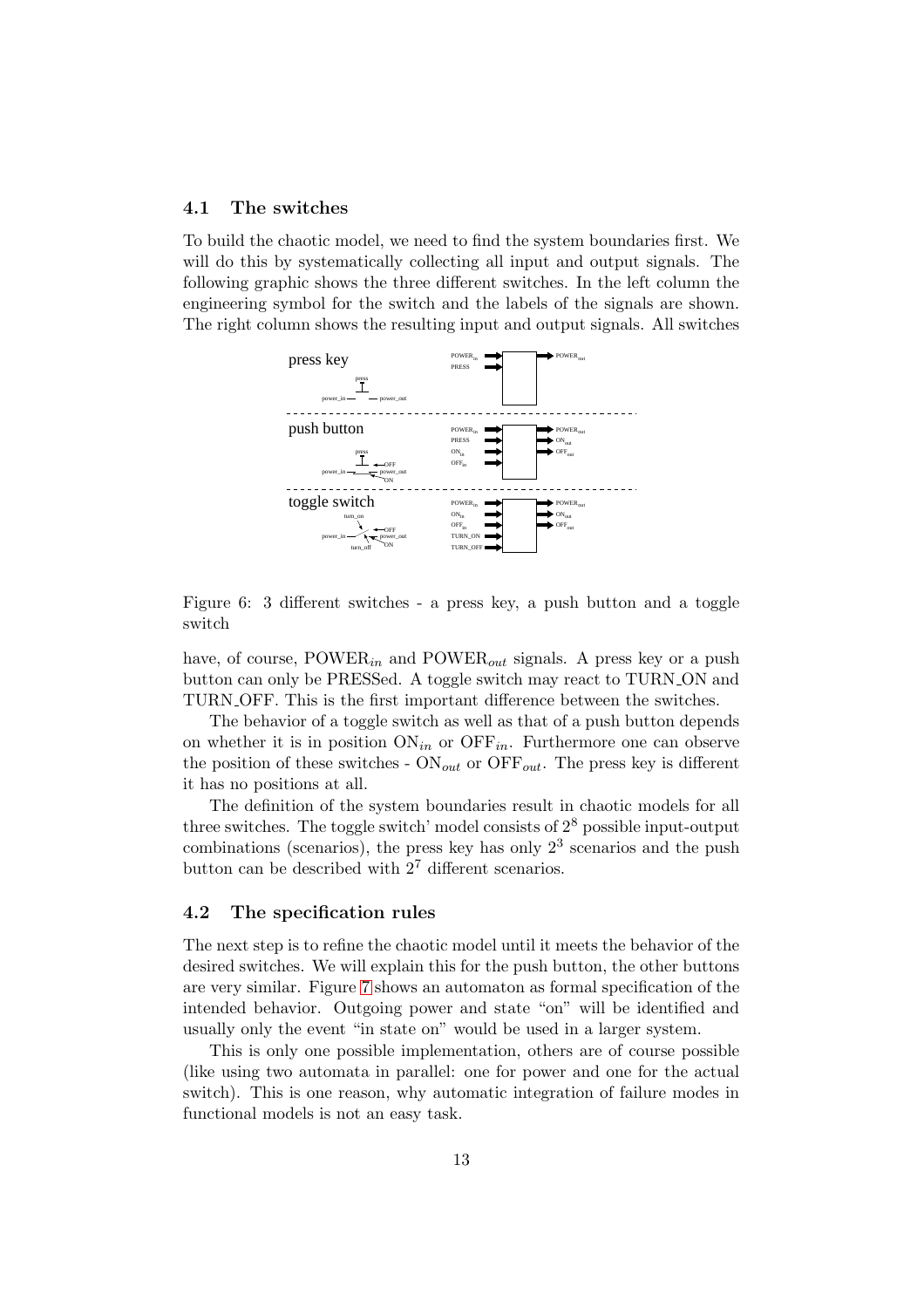#### 4.1 The switches

To build the chaotic model, we need to find the system boundaries first. We will do this by systematically collecting all input and output signals. The following graphic shows the three different switches. In the left column the engineering symbol for the switch and the labels of the signals are shown. The right column shows the resulting input and output signals. All switches



Figure 6: 3 different switches - a press key, a push button and a toggle switch

have, of course,  $POWER_{in}$  and  $POWER_{out}$  signals. A press key or a push button can only be PRESSed. A toggle switch may react to TURN ON and TURN OFF. This is the first important difference between the switches.

The behavior of a toggle switch as well as that of a push button depends on whether it is in position  $ON_{in}$  or  $OFF_{in}$ . Furthermore one can observe the position of these switches -  $ON_{out}$  or  $OFF_{out}$ . The press key is different it has no positions at all.

The definition of the system boundaries result in chaotic models for all three switches. The toggle switch' model consists of  $2^8$  possible input-output combinations (scenarios), the press key has only  $2<sup>3</sup>$  scenarios and the push button can be described with  $2<sup>7</sup>$  different scenarios.

#### 4.2 The specification rules

The next step is to refine the chaotic model until it meets the behavior of the desired switches. We will explain this for the push button, the other buttons are very similar. Figure [7](#page-15-0) shows an automaton as formal specification of the intended behavior. Outgoing power and state "on" will be identified and usually only the event "in state on" would be used in a larger system.

This is only one possible implementation, others are of course possible (like using two automata in parallel: one for power and one for the actual switch). This is one reason, why automatic integration of failure modes in functional models is not an easy task.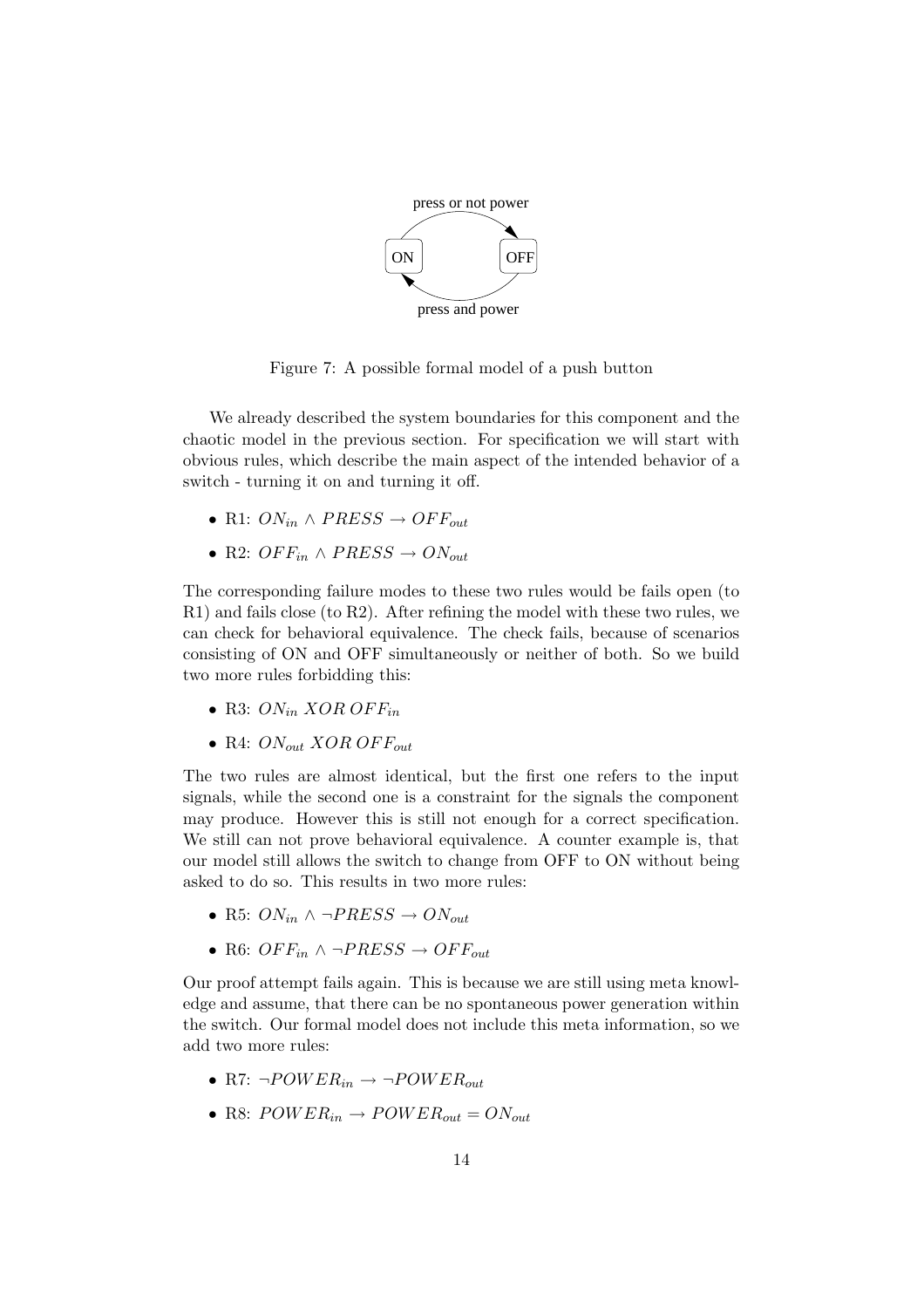

<span id="page-15-0"></span>Figure 7: A possible formal model of a push button

We already described the system boundaries for this component and the chaotic model in the previous section. For specification we will start with obvious rules, which describe the main aspect of the intended behavior of a switch - turning it on and turning it off.

- R1:  $ON_{in} \wedge PRESS \rightarrow OFF_{out}$
- R2:  $OFF_{in} \wedge PRESS \rightarrow ON_{out}$

The corresponding failure modes to these two rules would be fails open (to R1) and fails close (to R2). After refining the model with these two rules, we can check for behavioral equivalence. The check fails, because of scenarios consisting of ON and OFF simultaneously or neither of both. So we build two more rules forbidding this:

- R3:  $ON_{in} XOR OFF_{in}$
- R4:  $ON_{out} XOR OFF_{out}$

The two rules are almost identical, but the first one refers to the input signals, while the second one is a constraint for the signals the component may produce. However this is still not enough for a correct specification. We still can not prove behavioral equivalence. A counter example is, that our model still allows the switch to change from OFF to ON without being asked to do so. This results in two more rules:

- R5:  $ON_{in} \wedge \neg PRESS \rightarrow ON_{out}$
- R6:  $OFF_{in} \wedge \neg PRESS \rightarrow OFF_{out}$

Our proof attempt fails again. This is because we are still using meta knowledge and assume, that there can be no spontaneous power generation within the switch. Our formal model does not include this meta information, so we add two more rules:

- R7:  $\neg POWER_{in} \rightarrow \neg POWER_{out}$
- R8:  $POWER_{in} \rightarrow POWER_{out} = ON_{out}$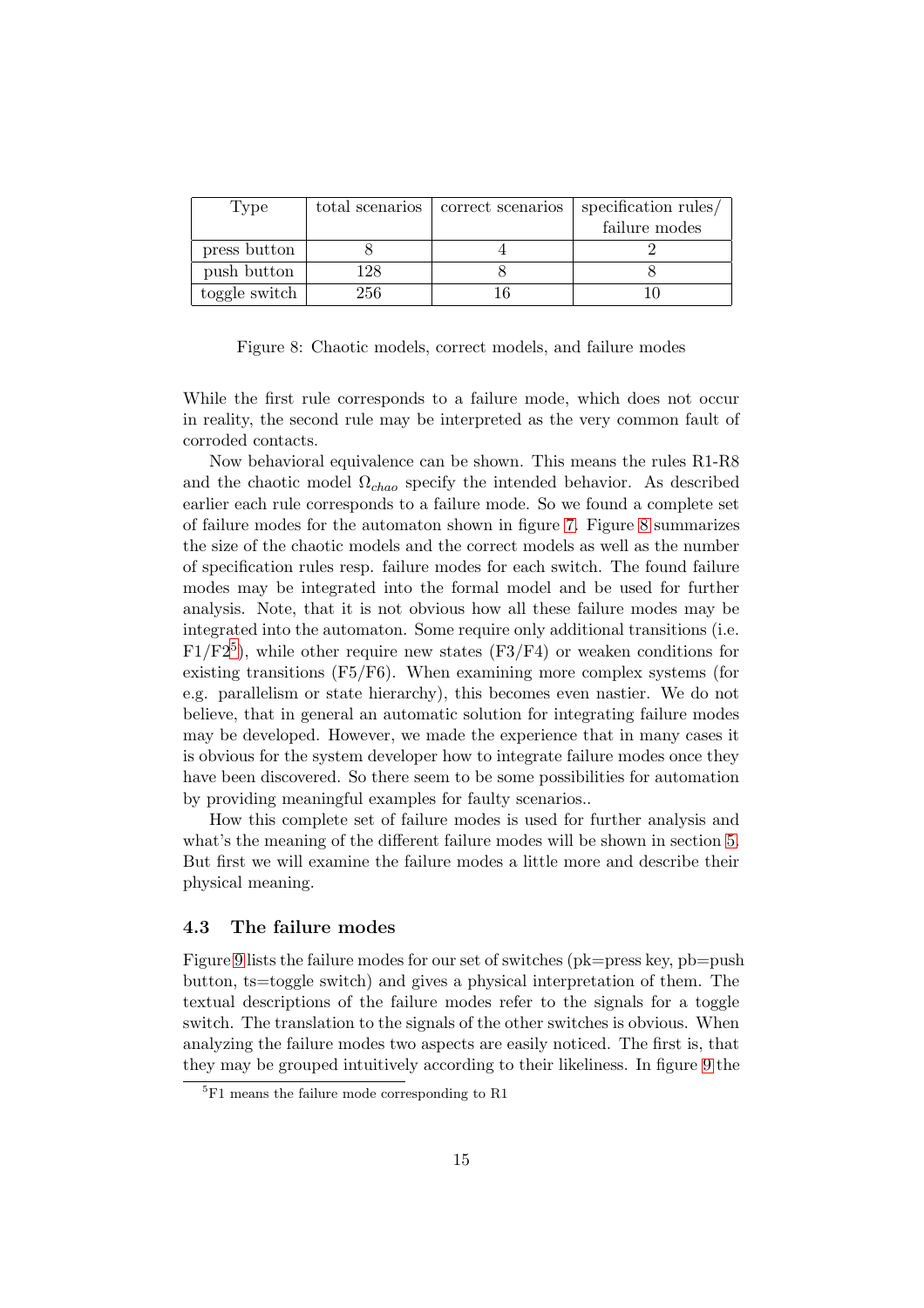| 'Type         | total scenarios | correct scenarios | specification rules/ |  |
|---------------|-----------------|-------------------|----------------------|--|
|               |                 |                   | failure modes        |  |
| press button  |                 |                   |                      |  |
| push button   | 128             |                   |                      |  |
| toggle switch | 256             |                   |                      |  |

<span id="page-16-0"></span>Figure 8: Chaotic models, correct models, and failure modes

While the first rule corresponds to a failure mode, which does not occur in reality, the second rule may be interpreted as the very common fault of corroded contacts.

Now behavioral equivalence can be shown. This means the rules R1-R8 and the chaotic model  $\Omega_{chao}$  specify the intended behavior. As described earlier each rule corresponds to a failure mode. So we found a complete set of failure modes for the automaton shown in figure [7.](#page-15-0) Figure [8](#page-16-0) summarizes the size of the chaotic models and the correct models as well as the number of specification rules resp. failure modes for each switch. The found failure modes may be integrated into the formal model and be used for further analysis. Note, that it is not obvious how all these failure modes may be integrated into the automaton. Some require only additional transitions (i.e.  $F1/F2<sup>5</sup>$  $F1/F2<sup>5</sup>$  $F1/F2<sup>5</sup>$ ), while other require new states (F3/F4) or weaken conditions for existing transitions (F5/F6). When examining more complex systems (for e.g. parallelism or state hierarchy), this becomes even nastier. We do not believe, that in general an automatic solution for integrating failure modes may be developed. However, we made the experience that in many cases it is obvious for the system developer how to integrate failure modes once they have been discovered. So there seem to be some possibilities for automation by providing meaningful examples for faulty scenarios..

How this complete set of failure modes is used for further analysis and what's the meaning of the different failure modes will be shown in section [5.](#page-18-0) But first we will examine the failure modes a little more and describe their physical meaning.

#### 4.3 The failure modes

Figure [9](#page-17-0) lists the failure modes for our set of switches (pk=press key, pb=push button, ts=toggle switch) and gives a physical interpretation of them. The textual descriptions of the failure modes refer to the signals for a toggle switch. The translation to the signals of the other switches is obvious. When analyzing the failure modes two aspects are easily noticed. The first is, that they may be grouped intuitively according to their likeliness. In figure [9](#page-17-0) the

<span id="page-16-1"></span><sup>&</sup>lt;sup>5</sup>F1 means the failure mode corresponding to R1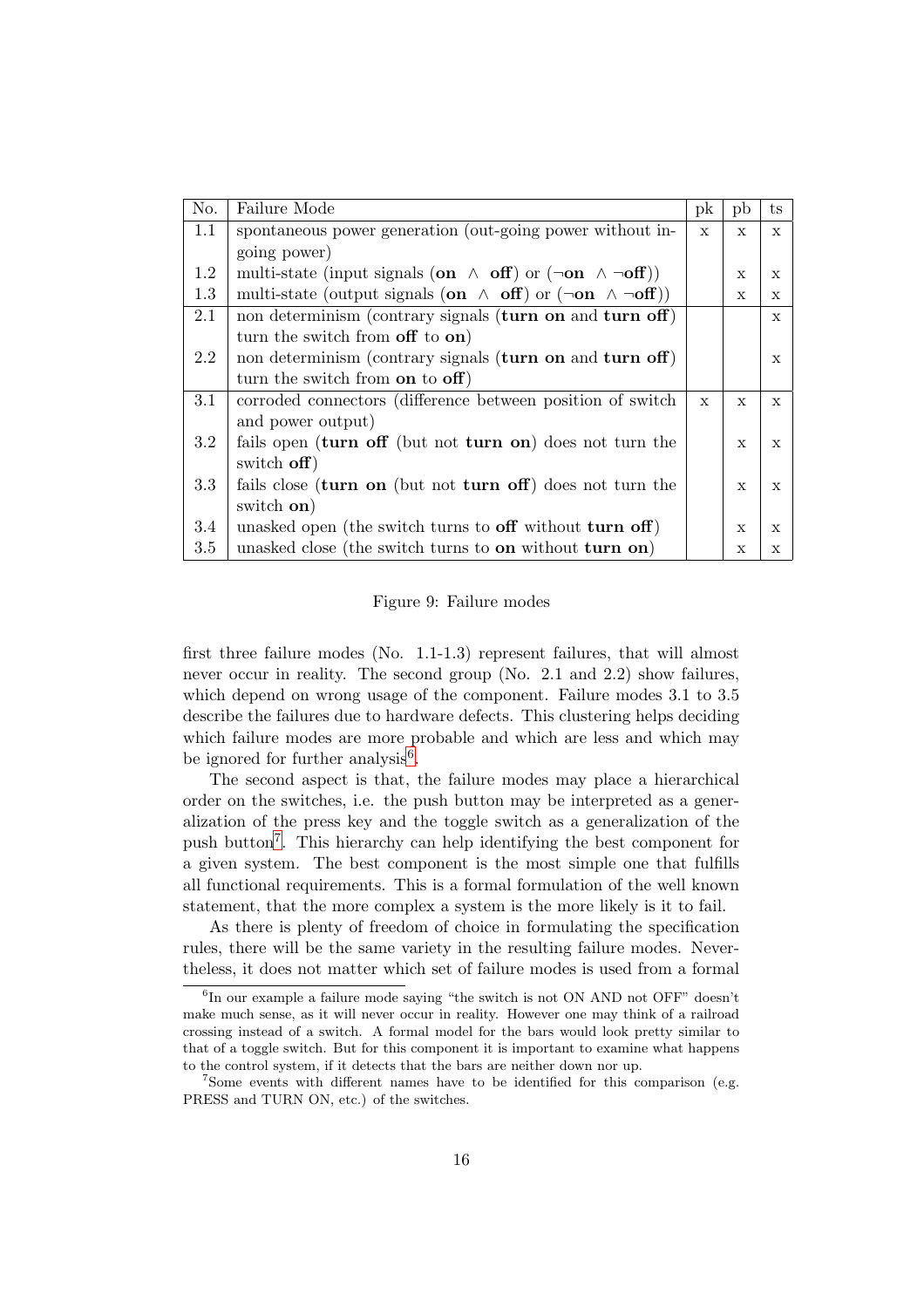| No.     | Failure Mode                                                                    | pk           | pb           | $t_{\rm S}$  |
|---------|---------------------------------------------------------------------------------|--------------|--------------|--------------|
| 1.1     | spontaneous power generation (out-going power without in-                       | $\mathbf{x}$ | $\mathbf{x}$ | $\mathbf{x}$ |
|         | going power)                                                                    |              |              |              |
| 1.2     | multi-state (input signals (on $\wedge$ off) or $(\neg$ on $\wedge \neg$ off))  |              | $\mathbf x$  | X            |
| 1.3     | multi-state (output signals (on $\wedge$ off) or $(\neg$ on $\wedge \neg$ off)) |              | X            | X            |
| 2.1     | non determinism (contrary signals (turn on and turn off)                        |              |              | $\mathbf{x}$ |
|         | turn the switch from off to on)                                                 |              |              |              |
| 2.2     | non determinism (contrary signals (turn on and turn off)                        |              |              | $\mathbf{x}$ |
|         | turn the switch from on to $\text{off}$ )                                       |              |              |              |
| 3.1     | corroded connectors (difference between position of switch                      | $\mathbf{x}$ | $\mathbf{x}$ | $\mathbf{x}$ |
|         | and power output)                                                               |              |              |              |
| $3.2\,$ | fails open (turn off (but not turn on) does not turn the                        |              | $\mathbf{x}$ | $\mathbf{x}$ |
|         | switch off)                                                                     |              |              |              |
| 3.3     | fails close (turn on (but not turn off) does not turn the                       |              | $\mathbf{x}$ | $\mathbf{x}$ |
|         | switch on)                                                                      |              |              |              |
| 3.4     | unasked open (the switch turns to $\text{off}$ without turn off)                |              | $\mathbf x$  | $\mathbf{x}$ |
| 3.5     | unasked close (the switch turns to on without turn on)                          |              | X            | X            |

#### <span id="page-17-0"></span>Figure 9: Failure modes

first three failure modes (No. 1.1-1.3) represent failures, that will almost never occur in reality. The second group (No. 2.1 and 2.2) show failures, which depend on wrong usage of the component. Failure modes 3.1 to 3.5 describe the failures due to hardware defects. This clustering helps deciding which failure modes are more probable and which are less and which may be ignored for further analysis<sup>[6](#page-17-1)</sup>.

The second aspect is that, the failure modes may place a hierarchical order on the switches, i.e. the push button may be interpreted as a generalization of the press key and the toggle switch as a generalization of the push button[7](#page-17-2) . This hierarchy can help identifying the best component for a given system. The best component is the most simple one that fulfills all functional requirements. This is a formal formulation of the well known statement, that the more complex a system is the more likely is it to fail.

As there is plenty of freedom of choice in formulating the specification rules, there will be the same variety in the resulting failure modes. Nevertheless, it does not matter which set of failure modes is used from a formal

<span id="page-17-1"></span> ${}^{6}$ In our example a failure mode saying "the switch is not ON AND not OFF" doesn't make much sense, as it will never occur in reality. However one may think of a railroad crossing instead of a switch. A formal model for the bars would look pretty similar to that of a toggle switch. But for this component it is important to examine what happens to the control system, if it detects that the bars are neither down nor up.

<span id="page-17-2"></span><sup>&</sup>lt;sup>7</sup>Some events with different names have to be identified for this comparison (e.g. PRESS and TURN ON, etc.) of the switches.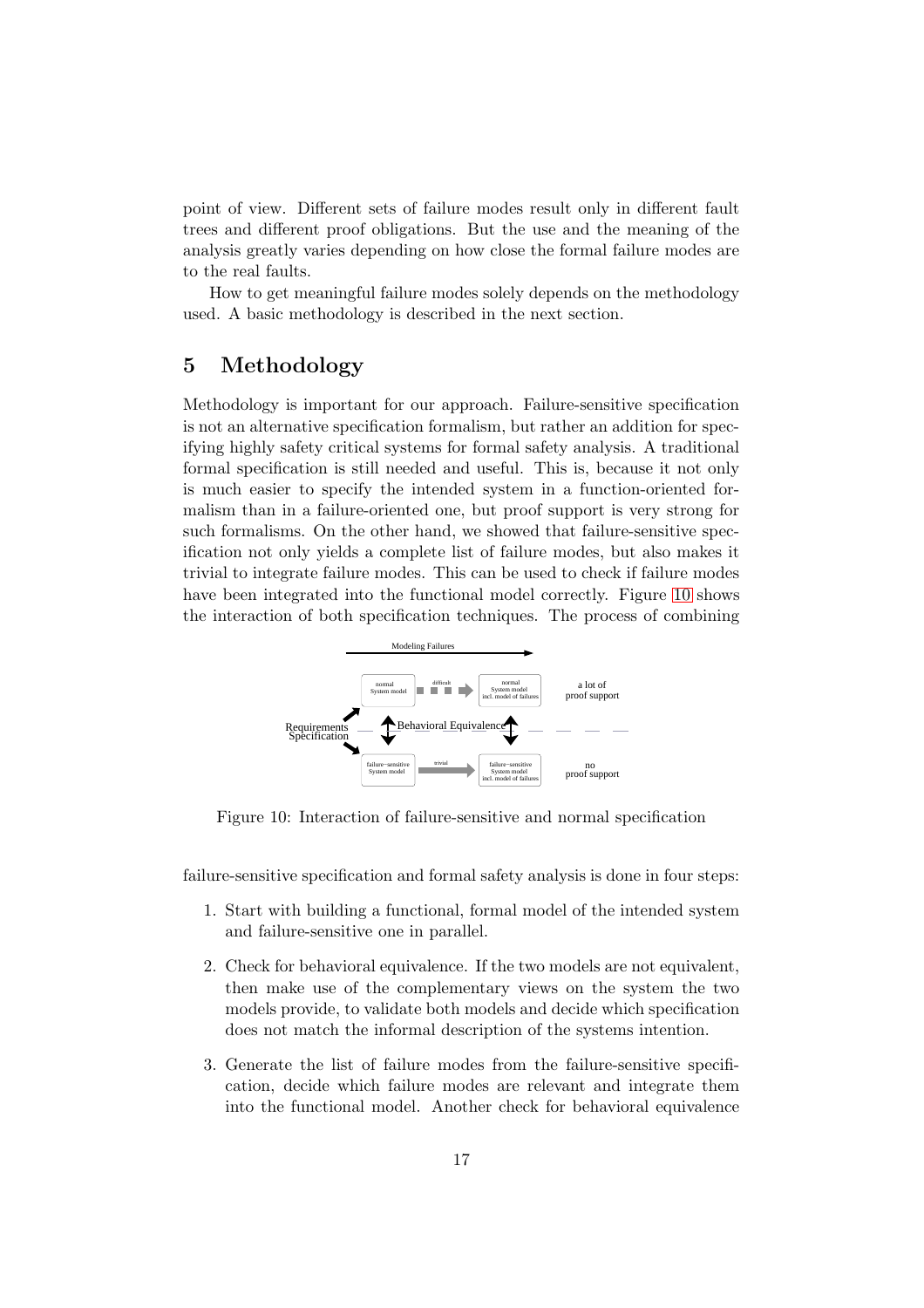point of view. Different sets of failure modes result only in different fault trees and different proof obligations. But the use and the meaning of the analysis greatly varies depending on how close the formal failure modes are to the real faults.

How to get meaningful failure modes solely depends on the methodology used. A basic methodology is described in the next section.

## <span id="page-18-0"></span>5 Methodology

Methodology is important for our approach. Failure-sensitive specification is not an alternative specification formalism, but rather an addition for specifying highly safety critical systems for formal safety analysis. A traditional formal specification is still needed and useful. This is, because it not only is much easier to specify the intended system in a function-oriented formalism than in a failure-oriented one, but proof support is very strong for such formalisms. On the other hand, we showed that failure-sensitive specification not only yields a complete list of failure modes, but also makes it trivial to integrate failure modes. This can be used to check if failure modes have been integrated into the functional model correctly. Figure [10](#page-18-1) shows the interaction of both specification techniques. The process of combining



<span id="page-18-1"></span>Figure 10: Interaction of failure-sensitive and normal specification

failure-sensitive specification and formal safety analysis is done in four steps:

- 1. Start with building a functional, formal model of the intended system and failure-sensitive one in parallel.
- 2. Check for behavioral equivalence. If the two models are not equivalent, then make use of the complementary views on the system the two models provide, to validate both models and decide which specification does not match the informal description of the systems intention.
- 3. Generate the list of failure modes from the failure-sensitive specification, decide which failure modes are relevant and integrate them into the functional model. Another check for behavioral equivalence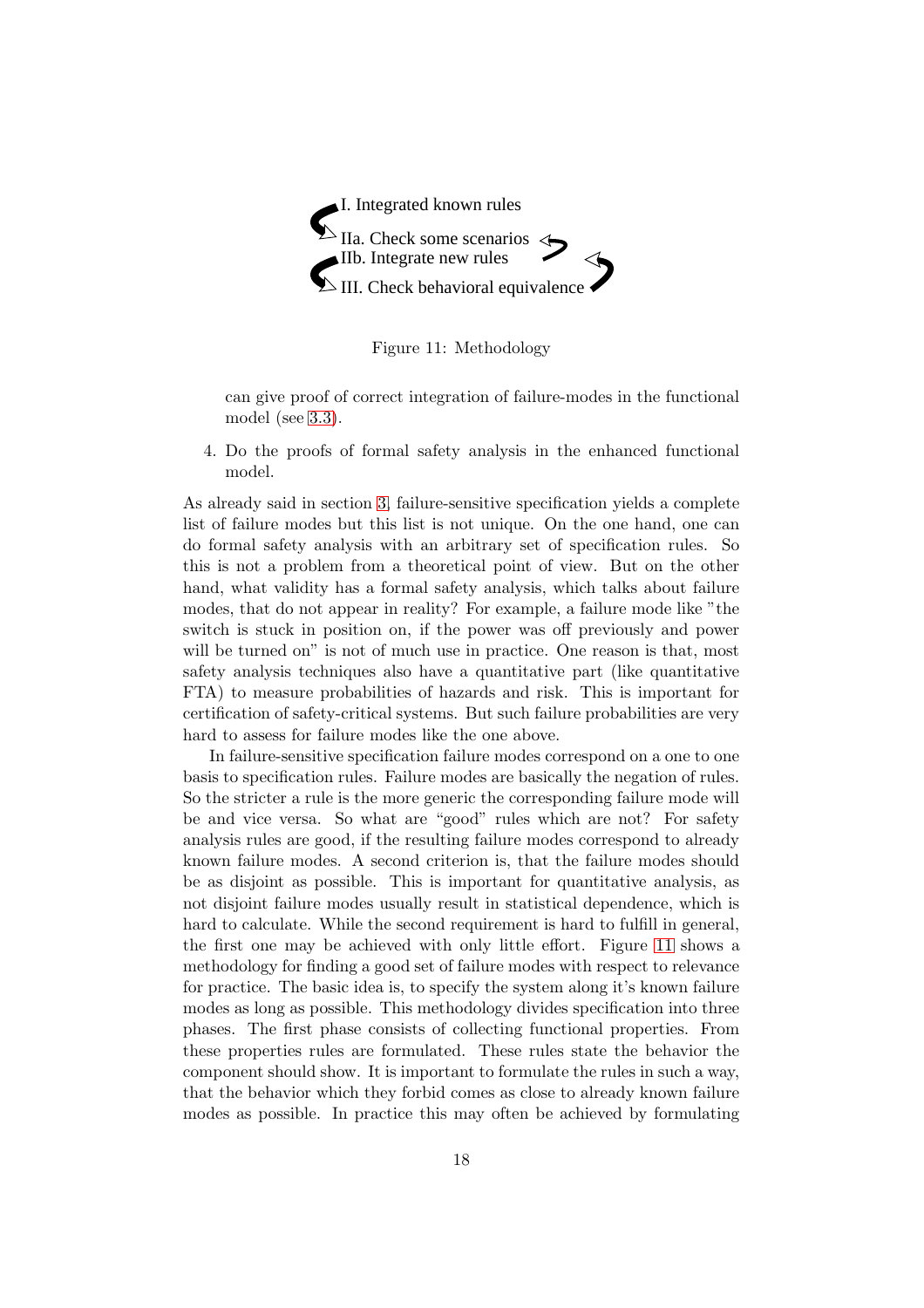

Figure 11: Methodology

<span id="page-19-0"></span>can give proof of correct integration of failure-modes in the functional model (see [3.3\)](#page-11-0).

4. Do the proofs of formal safety analysis in the enhanced functional model.

As already said in section [3,](#page-7-0) failure-sensitive specification yields a complete list of failure modes but this list is not unique. On the one hand, one can do formal safety analysis with an arbitrary set of specification rules. So this is not a problem from a theoretical point of view. But on the other hand, what validity has a formal safety analysis, which talks about failure modes, that do not appear in reality? For example, a failure mode like "the switch is stuck in position on, if the power was off previously and power will be turned on" is not of much use in practice. One reason is that, most safety analysis techniques also have a quantitative part (like quantitative FTA) to measure probabilities of hazards and risk. This is important for certification of safety-critical systems. But such failure probabilities are very hard to assess for failure modes like the one above.

In failure-sensitive specification failure modes correspond on a one to one basis to specification rules. Failure modes are basically the negation of rules. So the stricter a rule is the more generic the corresponding failure mode will be and vice versa. So what are "good" rules which are not? For safety analysis rules are good, if the resulting failure modes correspond to already known failure modes. A second criterion is, that the failure modes should be as disjoint as possible. This is important for quantitative analysis, as not disjoint failure modes usually result in statistical dependence, which is hard to calculate. While the second requirement is hard to fulfill in general, the first one may be achieved with only little effort. Figure [11](#page-19-0) shows a methodology for finding a good set of failure modes with respect to relevance for practice. The basic idea is, to specify the system along it's known failure modes as long as possible. This methodology divides specification into three phases. The first phase consists of collecting functional properties. From these properties rules are formulated. These rules state the behavior the component should show. It is important to formulate the rules in such a way, that the behavior which they forbid comes as close to already known failure modes as possible. In practice this may often be achieved by formulating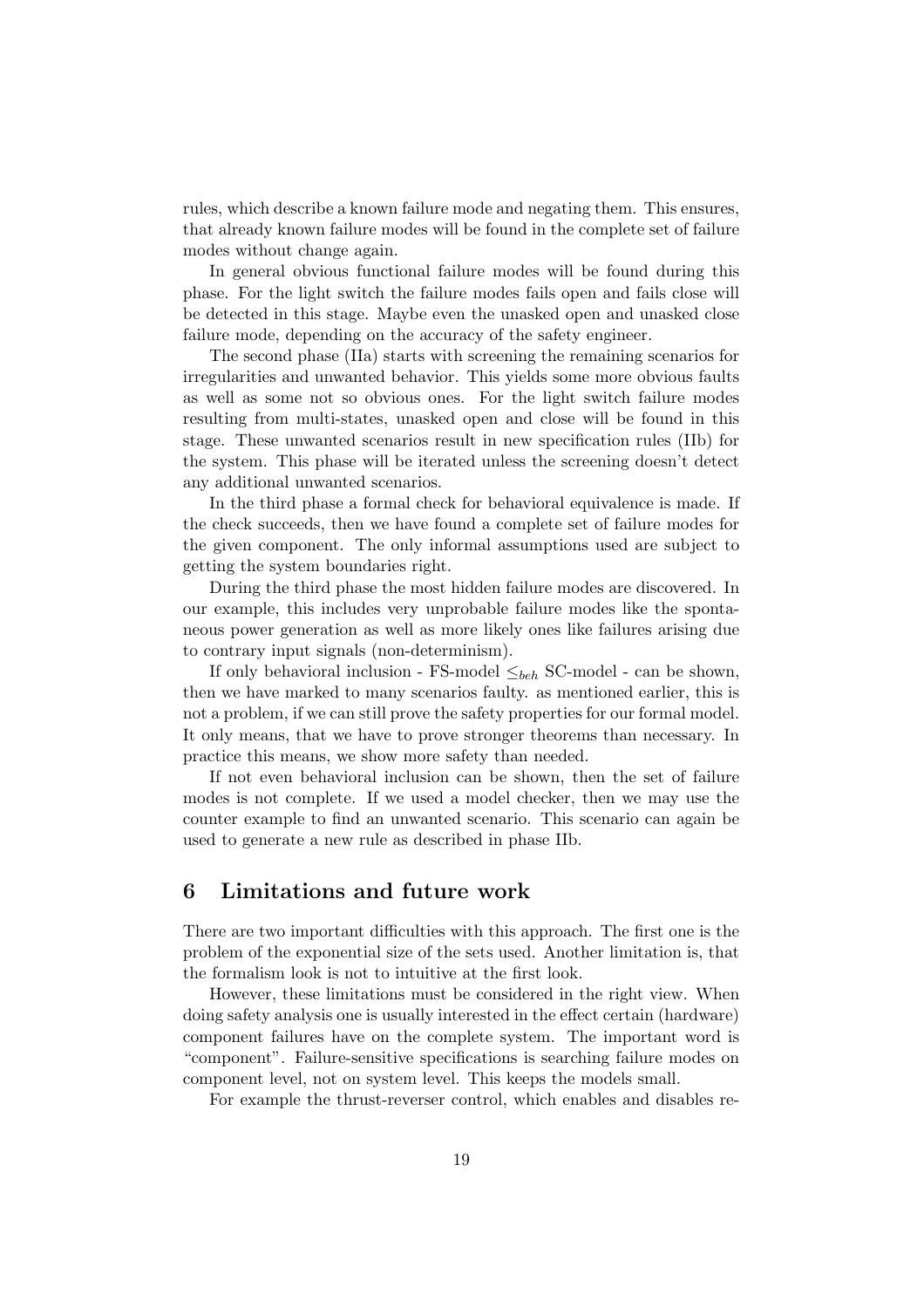rules, which describe a known failure mode and negating them. This ensures, that already known failure modes will be found in the complete set of failure modes without change again.

In general obvious functional failure modes will be found during this phase. For the light switch the failure modes fails open and fails close will be detected in this stage. Maybe even the unasked open and unasked close failure mode, depending on the accuracy of the safety engineer.

The second phase (IIa) starts with screening the remaining scenarios for irregularities and unwanted behavior. This yields some more obvious faults as well as some not so obvious ones. For the light switch failure modes resulting from multi-states, unasked open and close will be found in this stage. These unwanted scenarios result in new specification rules (IIb) for the system. This phase will be iterated unless the screening doesn't detect any additional unwanted scenarios.

In the third phase a formal check for behavioral equivalence is made. If the check succeeds, then we have found a complete set of failure modes for the given component. The only informal assumptions used are subject to getting the system boundaries right.

During the third phase the most hidden failure modes are discovered. In our example, this includes very unprobable failure modes like the spontaneous power generation as well as more likely ones like failures arising due to contrary input signals (non-determinism).

If only behavioral inclusion - FS-model  $\leq_{beh}$  SC-model - can be shown, then we have marked to many scenarios faulty. as mentioned earlier, this is not a problem, if we can still prove the safety properties for our formal model. It only means, that we have to prove stronger theorems than necessary. In practice this means, we show more safety than needed.

If not even behavioral inclusion can be shown, then the set of failure modes is not complete. If we used a model checker, then we may use the counter example to find an unwanted scenario. This scenario can again be used to generate a new rule as described in phase IIb.

### <span id="page-20-0"></span>6 Limitations and future work

There are two important difficulties with this approach. The first one is the problem of the exponential size of the sets used. Another limitation is, that the formalism look is not to intuitive at the first look.

However, these limitations must be considered in the right view. When doing safety analysis one is usually interested in the effect certain (hardware) component failures have on the complete system. The important word is "component". Failure-sensitive specifications is searching failure modes on component level, not on system level. This keeps the models small.

For example the thrust-reverser control, which enables and disables re-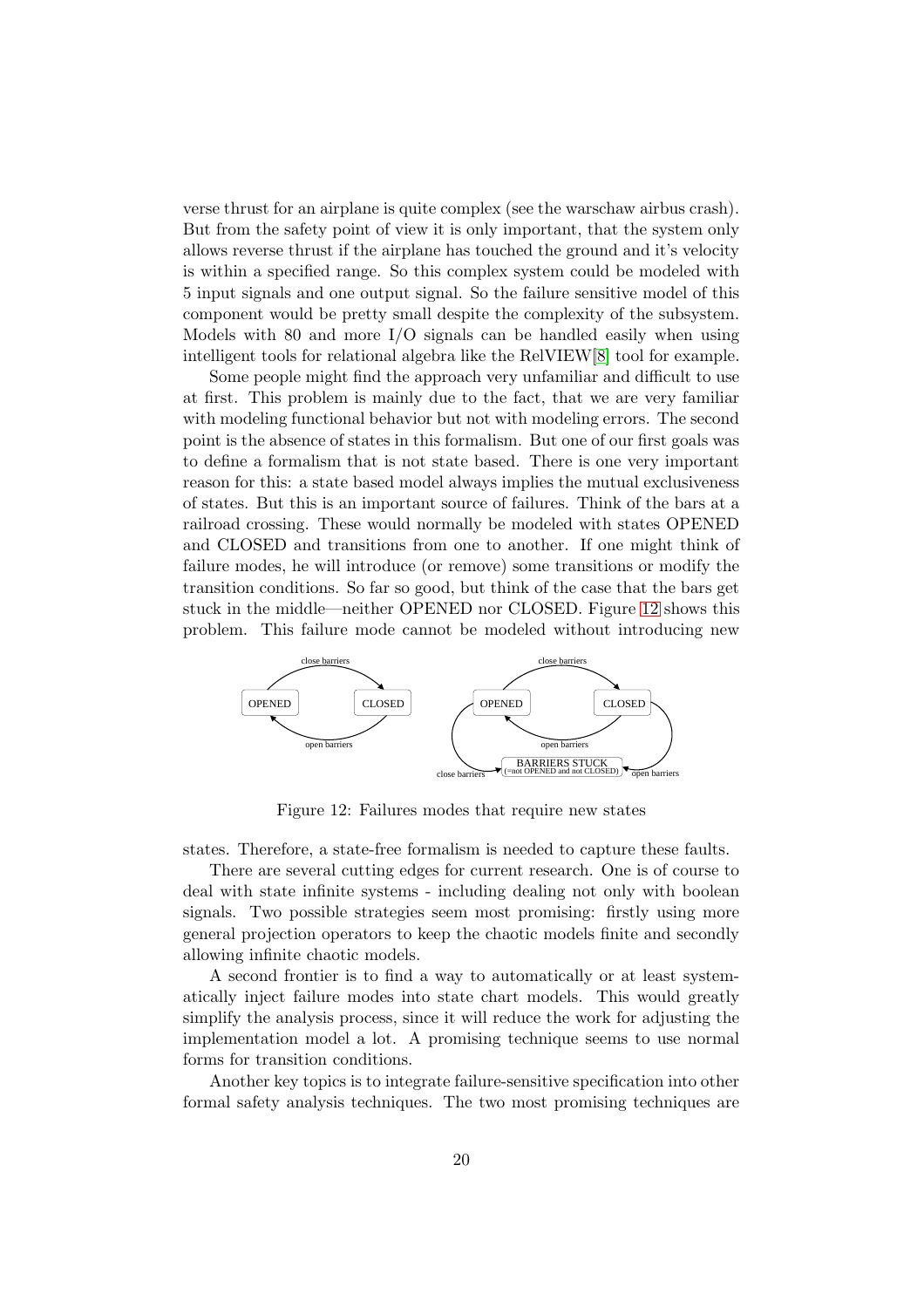verse thrust for an airplane is quite complex (see the warschaw airbus crash). But from the safety point of view it is only important, that the system only allows reverse thrust if the airplane has touched the ground and it's velocity is within a specified range. So this complex system could be modeled with 5 input signals and one output signal. So the failure sensitive model of this component would be pretty small despite the complexity of the subsystem. Models with 80 and more I/O signals can be handled easily when using intelligent tools for relational algebra like the RelVIEW[\[8\]](#page-23-11) tool for example.

Some people might find the approach very unfamiliar and difficult to use at first. This problem is mainly due to the fact, that we are very familiar with modeling functional behavior but not with modeling errors. The second point is the absence of states in this formalism. But one of our first goals was to define a formalism that is not state based. There is one very important reason for this: a state based model always implies the mutual exclusiveness of states. But this is an important source of failures. Think of the bars at a railroad crossing. These would normally be modeled with states OPENED and CLOSED and transitions from one to another. If one might think of failure modes, he will introduce (or remove) some transitions or modify the transition conditions. So far so good, but think of the case that the bars get stuck in the middle—neither OPENED nor CLOSED. Figure [12](#page-21-0) shows this problem. This failure mode cannot be modeled without introducing new



<span id="page-21-0"></span>Figure 12: Failures modes that require new states

states. Therefore, a state-free formalism is needed to capture these faults.

There are several cutting edges for current research. One is of course to deal with state infinite systems - including dealing not only with boolean signals. Two possible strategies seem most promising: firstly using more general projection operators to keep the chaotic models finite and secondly allowing infinite chaotic models.

A second frontier is to find a way to automatically or at least systematically inject failure modes into state chart models. This would greatly simplify the analysis process, since it will reduce the work for adjusting the implementation model a lot. A promising technique seems to use normal forms for transition conditions.

Another key topics is to integrate failure-sensitive specification into other formal safety analysis techniques. The two most promising techniques are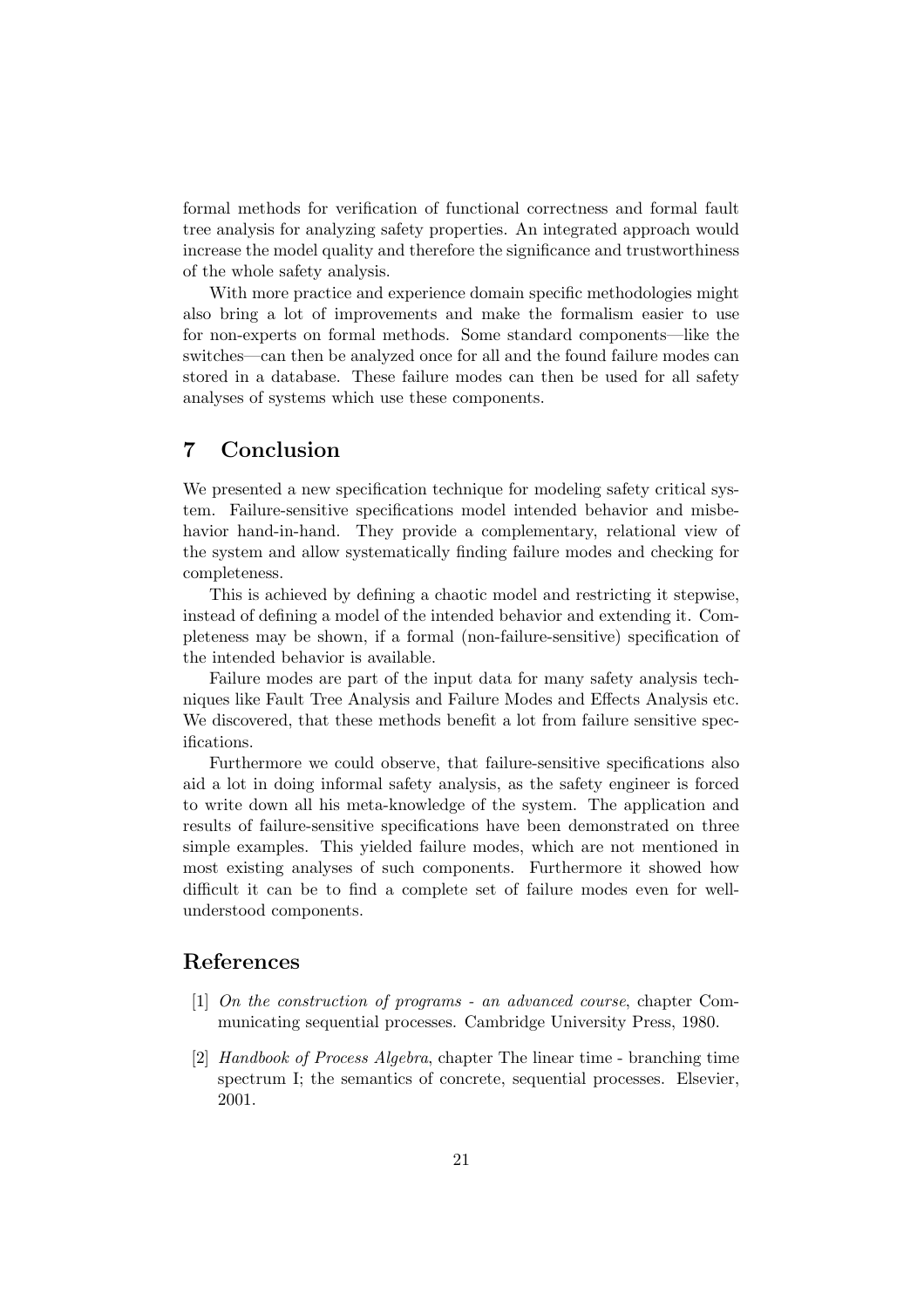formal methods for verification of functional correctness and formal fault tree analysis for analyzing safety properties. An integrated approach would increase the model quality and therefore the significance and trustworthiness of the whole safety analysis.

With more practice and experience domain specific methodologies might also bring a lot of improvements and make the formalism easier to use for non-experts on formal methods. Some standard components—like the switches—can then be analyzed once for all and the found failure modes can stored in a database. These failure modes can then be used for all safety analyses of systems which use these components.

## <span id="page-22-0"></span>7 Conclusion

We presented a new specification technique for modeling safety critical system. Failure-sensitive specifications model intended behavior and misbehavior hand-in-hand. They provide a complementary, relational view of the system and allow systematically finding failure modes and checking for completeness.

This is achieved by defining a chaotic model and restricting it stepwise, instead of defining a model of the intended behavior and extending it. Completeness may be shown, if a formal (non-failure-sensitive) specification of the intended behavior is available.

Failure modes are part of the input data for many safety analysis techniques like Fault Tree Analysis and Failure Modes and Effects Analysis etc. We discovered, that these methods benefit a lot from failure sensitive specifications.

Furthermore we could observe, that failure-sensitive specifications also aid a lot in doing informal safety analysis, as the safety engineer is forced to write down all his meta-knowledge of the system. The application and results of failure-sensitive specifications have been demonstrated on three simple examples. This yielded failure modes, which are not mentioned in most existing analyses of such components. Furthermore it showed how difficult it can be to find a complete set of failure modes even for wellunderstood components.

## <span id="page-22-1"></span>References

- <span id="page-22-2"></span>[1] On the construction of programs - an advanced course, chapter Communicating sequential processes. Cambridge University Press, 1980.
- [2] Handbook of Process Algebra, chapter The linear time branching time spectrum I; the semantics of concrete, sequential processes. Elsevier, 2001.